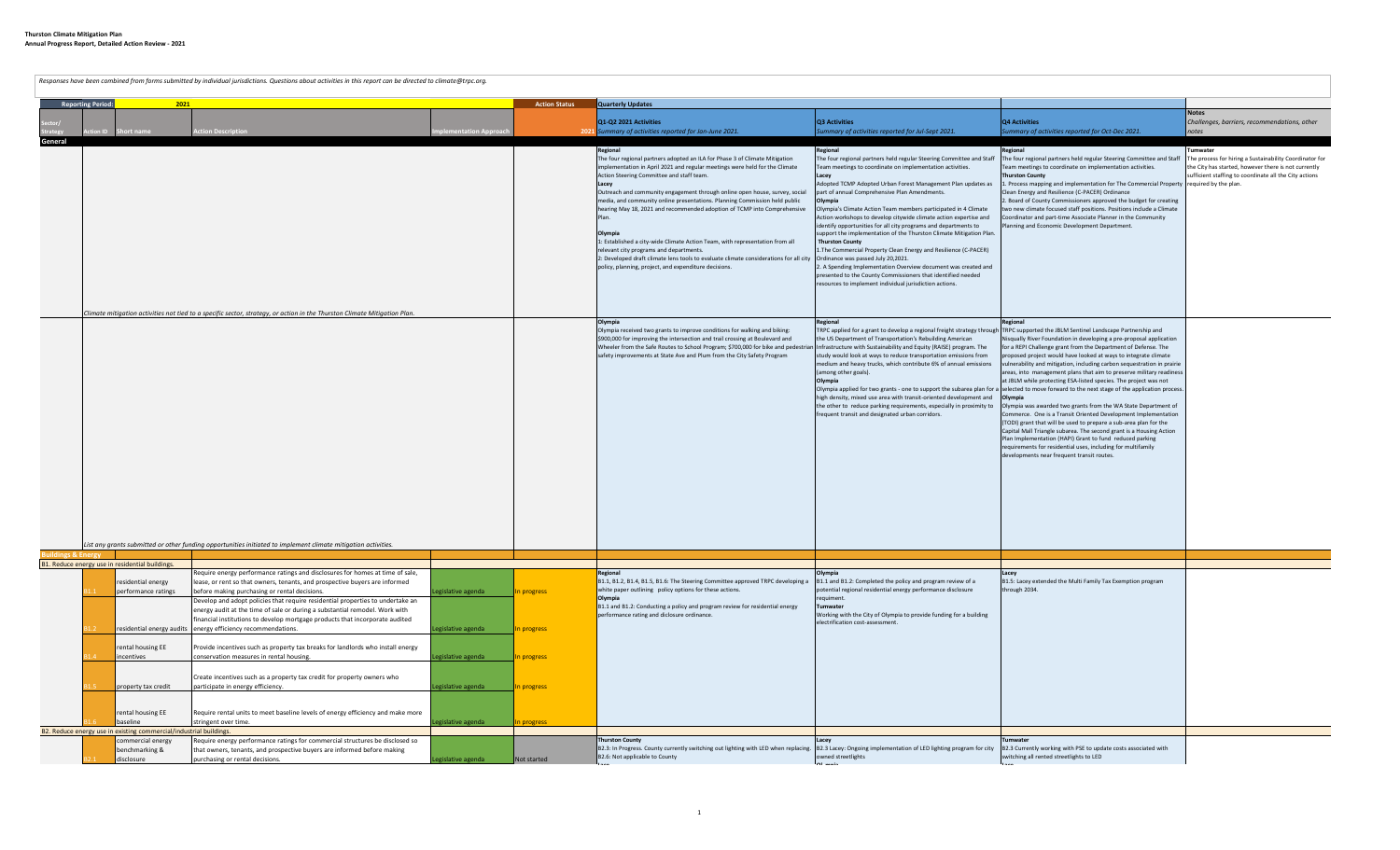**Reporting Period: 2021 Action Status Quarterly Updates Sector/ Strategy Action ID Short name Action Description Implementation Approach 2021 Q1-Q2 2021 Activities** *Summary of activities reported for Jan-June 2021.* **Q3 Activities** *Summary of activities reported for Jul-Sept 2021.* **Q4 Activities** *Summary of activities reported for Oct-Dec 2021.* **Notes** *Challenges, barriers, recommendations, other notes* **General Regional** The four regional partners adopted an ILA for Phase 3 of Climate Mitigation implementation in April 2021 and regular meetings were held for the Climate Action Steering Committee and staff team. **Lacey** treach and community engagement through online open house, survey, social media, and community online presentations. Planning Commission held public hearing May 18, 2021 and recommended adoption of TCMP into Comprehensive Plan. **Olympia** 1: Established a city-wide Climate Action Team, with representation from all relevant city programs and departments. 2: Developed draft climate lens tools to evaluate climate considerations for all city policy, planning, project, and expenditure decisions. **Regional** The four regional partners held regular Steering Committee and Staff eam meetings to coordinate on implementation activities. **Lacey** Adopted TCMP Adopted Urban Forest Management Plan updates as part of annual Comprehensive Plan Amendments. **Olympia** Olympia's Climate Action Team members participated in 4 Climate tion workshops to develop citywide climate action expertise and dentify opportunities for all city programs and departments to support the implementation of the Thurston Climate Mitigation Plan.  **Thurston County** 1.The Commercial Property Clean Energy and Resilience (C-PACER) Ordinance was passed July 20,2021. 2. A Spending Implementation Overview document was created and presented to the County Commissioners that identified needed sources to implement individual jurisdiction actions. **Regional** The four regional partners held regular Steering Committee and Staff eam meetings to coordinate on implementation activities. **Thurston County** 1. Process mapping and implementation for The Commercial Property ean Energy and Resilience (C-PACER) Ordinance 2. Board of County Commissioners approved the budget for creating o new climate focused staff positions. Positions include a Climate pordinator and part-time Associate Planner in the Community anning and Economic Development Department. **Tumwater** he process for hiring a Sustainability Coordinator for the City has started, however there is not currently sufficient staffing to coordinate all the City actions equired by the plan. **Olympia** Olympia received two grants to improve conditions for walking and biking: \$900,000 for improving the intersection and trail crossing at Boulevard and Wheeler from the Safe Routes to School Program; \$700,000 for bike and pedestri safety improvements at State Ave and Plum from the City Safety Program **Regional** TRPC applied for a grant to develop a regional freight strategy through the US Department of Transportation's Rebuilding American Infrastructure with Sustainability and Equity (RAISE) program. The study would look at ways to reduce transportation emissions from medium and heavy trucks, which contribute 6% of annual emissions among other goals). **Olympia** Olympia applied for two grants - one to support the subarea plan for a high density, mixed use area with transit-oriented development and the other to reduce parking requirements, especially in proximity to frequent transit and designated urban corridors. **Regional** RPC supported the JBLM Sentinel Landscape Partnership and squally River Foundation in developing a pre-proposal application or a REPI Challenge grant from the Department of Defense. The oposed project would have looked at ways to integrate climate vulnerability and mitigation, including carbon sequestration in prairie reas, into management plans that aim to preserve military readin at JBLM while protecting ESA-listed species. The project was not elected to move forward to the next stage of the application proce **Olympia** Olympia was awarded two grants from the WA State Department of ommerce. One is a Transit Oriented Development Implementation (TODI) grant that will be used to prepare a sub-area plan for the Capital Mall Triangle subarea. The second grant is a Housing Action lan Implementation (HAPI) Grant to fund reduced parking equirements for residential uses, including for multifamily elopments near frequent transit routes. **Buildings & Energy** B1. Reduce energy use in residential buildings. sidential energy performance ratings equire energy performance ratings and disclosures for homes at time of sale, ase, or rent so that owners, tenants, and prospective buyers are informed before making purchasing or rental decisions. Legislative agenda **In progress** B1.2 residential energy audits | energy efficiency recommendations. Legislative agenda In progress evelop and adopt policies that require residential properties to undertake an energy audit at the time of sale or during a substantial remodel. Work with nancial institutions to develop mortgage products that incorporate audited B1.4 rental housing EE **icentives** Provide incentives such as property tax breaks for landlords who install energy conservation measures in rental housing. The conservation of the exercise of the legislative agenda In progress roperty tax credit Create incentives such as a property tax credit for property owners who participate in energy efficiency. Legislative agenda In progress ental housing EE baseline equire rental units to meet baseline levels of energy efficiency and make more stringent over time. **Example 2018** and the stringent over time. In progress and the stringent over time. B2. Reduce energy use in existing commercial/industrial buildings. commercial energy benchmarking & isclosure Require energy performance ratings for commercial structures be disclosed so hat owners, tenants, and prospective buyers are informed before making purchasing or rental decisions. Legislative agenda Not started *Climate mitigation activities not tied to a specific sector, strategy, or action in the Thurston Climate Mitigation Plan.* **Colympia**<br>
B1.1, B1.2, B1.4, B1.5, B1.6: The Steering Committee approved TRPC developing a **B1.1** and B1.2: Completed the policy and program review of a potential regional residential energy performance disclosure requiment. .<br>Imwater Working with the City of Olympia to provide funding for a building etrification cost-as Thurston County<br>B2.3: In Progress. County currently switching out lighting with LED when replacing. B2.3 Lacey: Ongoing implementation of LED lighting program for city B2.3 Currently working with PSE to update costs associ owned streetlights *List any grants submitted or other funding opportunities initiated to implement climate mitigation activities.* white paper outlining policy options for these actions. **Olympia** B1.1 and B1.2: Conducting a policy and program review for residential energy performance rating and diclosure ordinance. **Thurston County** B2.6: Not applicable to County **Lacey** B1.5: Lacey extended the Multi Family Tax Exemption program hrough 2034. **Tumwater** witching all rented streetlights to LED *Responses have been combined from forms submitted by individual jurisdictions. Questions about activities in this report can be directed to climate@trpc.org.*

**Lace**

**Ol mpia**

**Lace**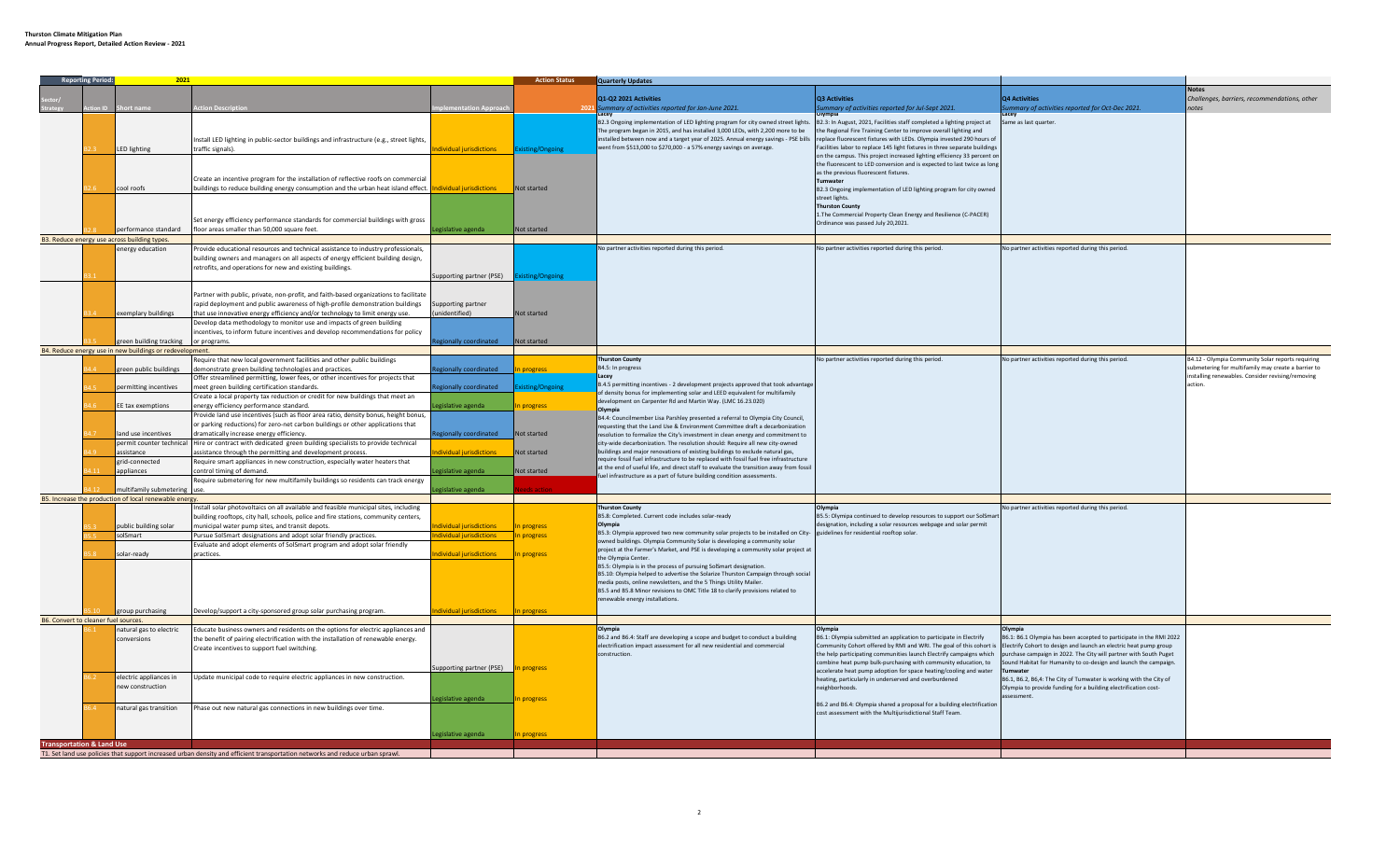|                                      | <b>Reporting Period:</b> | 2021                                                     |                                                                                                                               |                         | <b>Action Status</b> | <b>Quarterly Updates</b>                                                                                                                                  |                                                                           |                                                                     |                                                     |
|--------------------------------------|--------------------------|----------------------------------------------------------|-------------------------------------------------------------------------------------------------------------------------------|-------------------------|----------------------|-----------------------------------------------------------------------------------------------------------------------------------------------------------|---------------------------------------------------------------------------|---------------------------------------------------------------------|-----------------------------------------------------|
|                                      |                          |                                                          |                                                                                                                               |                         |                      |                                                                                                                                                           |                                                                           |                                                                     |                                                     |
|                                      |                          |                                                          |                                                                                                                               |                         |                      | Q1-Q2 2021 Activities                                                                                                                                     | <b>Q3 Activities</b>                                                      | <b>24 Activities</b>                                                | Challenges, barriers, recommendations, other        |
|                                      |                          |                                                          | on Descript                                                                                                                   | ementation Approa       |                      |                                                                                                                                                           |                                                                           |                                                                     |                                                     |
|                                      |                          |                                                          |                                                                                                                               |                         |                      | ummary of activities reported for Jan-June 2021.                                                                                                          | mmary of activities reported for Jul-Sept 2021.                           | immary of activities reported for Oct-Dec 2021.                     |                                                     |
|                                      |                          |                                                          |                                                                                                                               |                         |                      | B2.3 Ongoing implementation of LED lighting program for city owned street lights. B2.3: In August, 2021, Facilities staff completed a lighting project at |                                                                           | Same as last quarter.                                               |                                                     |
|                                      |                          |                                                          |                                                                                                                               |                         |                      | The program began in 2015, and has installed 3,000 LEDs, with 2,200 more to be                                                                            | the Regional Fire Training Center to improve overall lighting and         |                                                                     |                                                     |
|                                      |                          |                                                          |                                                                                                                               |                         |                      |                                                                                                                                                           |                                                                           |                                                                     |                                                     |
|                                      |                          |                                                          | nstall LED lighting in public-sector buildings and infrastructure (e.g., street lights,                                       |                         |                      | installed between now and a target year of 2025. Annual energy savings - PSE bills replace fluorescent fixtures with LEDs. Olympia invested 290 hours of  |                                                                           |                                                                     |                                                     |
|                                      |                          | LED lighting                                             | traffic signals).                                                                                                             | dividual jurisdictions  | xisting/Ongoing      | vent from \$513,000 to \$270,000 - a 57% energy savings on average.                                                                                       | acilities labor to replace 145 light fixtures in three separate buildings |                                                                     |                                                     |
|                                      |                          |                                                          |                                                                                                                               |                         |                      |                                                                                                                                                           | on the campus. This project increased lighting efficiency 33 percent or   |                                                                     |                                                     |
|                                      |                          |                                                          |                                                                                                                               |                         |                      |                                                                                                                                                           | the fluorescent to LED conversion and is expected to last twice as long   |                                                                     |                                                     |
|                                      |                          |                                                          |                                                                                                                               |                         |                      |                                                                                                                                                           | as the previous fluorescent fixtures.                                     |                                                                     |                                                     |
|                                      |                          |                                                          | Create an incentive program for the installation of reflective roofs on commercial                                            |                         |                      |                                                                                                                                                           | Tumwater                                                                  |                                                                     |                                                     |
|                                      |                          | cool roofs                                               | buildings to reduce building energy consumption and the urban heat island effect. <b>Individual jurisdictions</b>             |                         | Not started          |                                                                                                                                                           | B2.3 Ongoing implementation of LED lighting program for city owned        |                                                                     |                                                     |
|                                      |                          |                                                          |                                                                                                                               |                         |                      |                                                                                                                                                           | street lights.                                                            |                                                                     |                                                     |
|                                      |                          |                                                          |                                                                                                                               |                         |                      |                                                                                                                                                           |                                                                           |                                                                     |                                                     |
|                                      |                          |                                                          |                                                                                                                               |                         |                      |                                                                                                                                                           | <b>Thurston County</b>                                                    |                                                                     |                                                     |
|                                      |                          |                                                          |                                                                                                                               |                         |                      |                                                                                                                                                           | 1. The Commercial Property Clean Energy and Resilience (C-PACER)          |                                                                     |                                                     |
|                                      |                          |                                                          | Set energy efficiency performance standards for commercial buildings with gross                                               |                         |                      |                                                                                                                                                           | Ordinance was passed July 20,2021.                                        |                                                                     |                                                     |
|                                      |                          | erformance standard                                      | loor areas smaller than 50,000 square feet.                                                                                   | gislative agenda        | Not started          |                                                                                                                                                           |                                                                           |                                                                     |                                                     |
|                                      |                          | B3. Reduce energy use across building types.             |                                                                                                                               |                         |                      |                                                                                                                                                           |                                                                           |                                                                     |                                                     |
|                                      |                          |                                                          |                                                                                                                               |                         |                      | No partner activities reported during this period.                                                                                                        | No partner activities reported during this period.                        | No partner activities reported during this period.                  |                                                     |
|                                      |                          | energy education                                         | Provide educational resources and technical assistance to industry professionals,                                             |                         |                      |                                                                                                                                                           |                                                                           |                                                                     |                                                     |
|                                      |                          |                                                          | building owners and managers on all aspects of energy efficient building design,                                              |                         |                      |                                                                                                                                                           |                                                                           |                                                                     |                                                     |
|                                      |                          |                                                          | retrofits, and operations for new and existing buildings.                                                                     |                         |                      |                                                                                                                                                           |                                                                           |                                                                     |                                                     |
|                                      |                          |                                                          |                                                                                                                               | upporting partner (PSE) | xisting/Ongoing      |                                                                                                                                                           |                                                                           |                                                                     |                                                     |
|                                      |                          |                                                          |                                                                                                                               |                         |                      |                                                                                                                                                           |                                                                           |                                                                     |                                                     |
|                                      |                          |                                                          |                                                                                                                               |                         |                      |                                                                                                                                                           |                                                                           |                                                                     |                                                     |
|                                      |                          |                                                          | Partner with public, private, non-profit, and faith-based organizations to facilitate                                         |                         |                      |                                                                                                                                                           |                                                                           |                                                                     |                                                     |
|                                      |                          |                                                          | rapid deployment and public awareness of high-profile demonstration buildings                                                 | Supporting partner      |                      |                                                                                                                                                           |                                                                           |                                                                     |                                                     |
|                                      |                          | exemplary buildings                                      |                                                                                                                               | (heitified)             | Not started          |                                                                                                                                                           |                                                                           |                                                                     |                                                     |
|                                      |                          |                                                          | that use innovative energy efficiency and/or technology to limit energy use.                                                  |                         |                      |                                                                                                                                                           |                                                                           |                                                                     |                                                     |
|                                      |                          |                                                          | Develop data methodology to monitor use and impacts of green building                                                         |                         |                      |                                                                                                                                                           |                                                                           |                                                                     |                                                     |
|                                      |                          |                                                          | ncentives, to inform future incentives and develop recommendations for policy                                                 |                         |                      |                                                                                                                                                           |                                                                           |                                                                     |                                                     |
|                                      |                          | green building tracking                                  | or programs.                                                                                                                  | gionally coordinated    | Not started          |                                                                                                                                                           |                                                                           |                                                                     |                                                     |
|                                      |                          | B4. Reduce energy use in new buildings or redevelopment. |                                                                                                                               |                         |                      |                                                                                                                                                           |                                                                           |                                                                     |                                                     |
|                                      |                          |                                                          |                                                                                                                               |                         |                      |                                                                                                                                                           |                                                                           |                                                                     |                                                     |
|                                      |                          |                                                          | Require that new local government facilities and other public buildings                                                       |                         |                      | <b>Thurston County</b>                                                                                                                                    | No partner activities reported during this period.                        | No partner activities reported during this period.                  | B4.12 - Olympia Community Solar reports requiring   |
|                                      |                          | reen public buildings                                    | emonstrate green building technologies and practices.                                                                         | gionally coordinated    | progress             | B4.5: In progress                                                                                                                                         |                                                                           |                                                                     | submetering for multifamily may create a barrier to |
|                                      |                          |                                                          | Offer streamlined permitting, lower fees, or other incentives for projects that                                               |                         |                      | acev                                                                                                                                                      |                                                                           |                                                                     | nstalling renewables. Consider revising/removing    |
|                                      |                          |                                                          |                                                                                                                               |                         |                      | .4.5 permitting incentives - 2 development projects approved that took advantage                                                                          |                                                                           |                                                                     | ction                                               |
|                                      |                          | permitting incentives                                    | neet green building certification standards.                                                                                  | tionally coordinated    | xisting/Ongoin       | of density bonus for implementing solar and LEED equivalent for multifamily                                                                               |                                                                           |                                                                     |                                                     |
|                                      |                          |                                                          | Create a local property tax reduction or credit for new buildings that meet an                                                |                         |                      | development on Carpenter Rd and Martin Way. (LMC 16.23.020)                                                                                               |                                                                           |                                                                     |                                                     |
|                                      |                          | EE tax exemptions                                        | nergy efficiency performance standard.                                                                                        | gislative agenda        | progress             |                                                                                                                                                           |                                                                           |                                                                     |                                                     |
|                                      |                          |                                                          | Provide land use incentives (such as floor area ratio, density bonus, height bonus,                                           |                         |                      | Olympia                                                                                                                                                   |                                                                           |                                                                     |                                                     |
|                                      |                          |                                                          |                                                                                                                               |                         |                      | B4.4: Councilmember Lisa Parshley presented a referral to Olympia City Council,                                                                           |                                                                           |                                                                     |                                                     |
|                                      |                          |                                                          | r parking reductions) for zero-net carbon buildings or other applications that                                                |                         |                      | requesting that the Land Use & Environment Committee draft a decarbonization                                                                              |                                                                           |                                                                     |                                                     |
|                                      |                          | land use incentives                                      | dramatically increase energy efficiency.                                                                                      | gionally coordinated    | Not started          | resolution to formalize the City's investment in clean energy and commitment to                                                                           |                                                                           |                                                                     |                                                     |
|                                      |                          | permit counter technical                                 | Hire or contract with dedicated green building specialists to provide technical                                               |                         |                      | city-wide decarbonization. The resolution should: Require all new city-owned                                                                              |                                                                           |                                                                     |                                                     |
|                                      |                          | assistance                                               | ssistance through the permitting and development process.                                                                     | anoitoihainini leubivit | Not started          | buildings and major renovations of existing buildings to exclude natural gas,                                                                             |                                                                           |                                                                     |                                                     |
|                                      |                          |                                                          |                                                                                                                               |                         |                      | require fossil fuel infrastructure to be replaced with fossil fuel free infrastructure                                                                    |                                                                           |                                                                     |                                                     |
|                                      |                          | grid-connected                                           | Require smart appliances in new construction, especially water heaters that                                                   |                         |                      |                                                                                                                                                           |                                                                           |                                                                     |                                                     |
|                                      |                          | appliances                                               | control timing of demand.                                                                                                     | gislative agenda        | Not started          | at the end of useful life, and direct staff to evaluate the transition away from fossil                                                                   |                                                                           |                                                                     |                                                     |
|                                      |                          |                                                          | Require submetering for new multifamily buildings so residents can track energy                                               |                         |                      | uel infrastructure as a part of future building condition assessments.                                                                                    |                                                                           |                                                                     |                                                     |
|                                      |                          | ultifamily submetering                                   |                                                                                                                               | zislative agenda        |                      |                                                                                                                                                           |                                                                           |                                                                     |                                                     |
|                                      |                          | B5. Increase the production of local renewable energy.   |                                                                                                                               |                         |                      |                                                                                                                                                           |                                                                           |                                                                     |                                                     |
|                                      |                          |                                                          |                                                                                                                               |                         |                      |                                                                                                                                                           |                                                                           |                                                                     |                                                     |
|                                      |                          |                                                          | nstall solar photovoltaics on all available and feasible municipal sites, including                                           |                         |                      | <b>Thurston County</b>                                                                                                                                    |                                                                           | No partner activities reported during this period.                  |                                                     |
|                                      |                          |                                                          | building rooftops, city hall, schools, police and fire stations, community centers,                                           |                         |                      | B5.8: Completed. Current code includes solar-ready                                                                                                        | B5.5: Olymipa continued to develop resources to support our SolSma        |                                                                     |                                                     |
|                                      |                          | ublic building solar                                     | unicipal water pump sites, and transit depots.                                                                                | idual jurisdictions     | n progress           |                                                                                                                                                           | designation, including a solar resources webpage and solar permit         |                                                                     |                                                     |
|                                      |                          | solSmart                                                 |                                                                                                                               | dividual jurisdictions  |                      | B5.3: Olympia approved two new community solar projects to be installed on City- guidelines for residential rooftop solar.                                |                                                                           |                                                                     |                                                     |
|                                      |                          |                                                          | Pursue SolSmart designations and adopt solar friendly practices.                                                              |                         | In progress          | owned buildings. Olympia Community Solar is developing a community solar                                                                                  |                                                                           |                                                                     |                                                     |
|                                      |                          |                                                          | valuate and adopt elements of SolSmart program and adopt solar friendly                                                       |                         |                      | project at the Farmer's Market, and PSE is developing a community solar project at                                                                        |                                                                           |                                                                     |                                                     |
|                                      |                          | solar-ready                                              | practices.                                                                                                                    | dividual jurisdictions  | In progress          | the Olympia Center                                                                                                                                        |                                                                           |                                                                     |                                                     |
|                                      |                          |                                                          |                                                                                                                               |                         |                      | B5.5: Olympia is in the process of pursuing SolSmart designation.                                                                                         |                                                                           |                                                                     |                                                     |
|                                      |                          |                                                          |                                                                                                                               |                         |                      | B5.10: Olympia helped to advertise the Solarize Thurston Campaign through social                                                                          |                                                                           |                                                                     |                                                     |
|                                      |                          |                                                          |                                                                                                                               |                         |                      |                                                                                                                                                           |                                                                           |                                                                     |                                                     |
|                                      |                          |                                                          |                                                                                                                               |                         |                      | media posts, online newsletters, and the 5 Things Utility Mailer.                                                                                         |                                                                           |                                                                     |                                                     |
|                                      |                          |                                                          |                                                                                                                               |                         |                      | B5.5 and B5.8 Minor revisions to OMC Title 18 to clarify provisions related to                                                                            |                                                                           |                                                                     |                                                     |
|                                      |                          |                                                          |                                                                                                                               |                         |                      | enewable energy installations.                                                                                                                            |                                                                           |                                                                     |                                                     |
|                                      |                          | group purchasing                                         | Develop/support a city-sponsored group solar purchasing program.                                                              | dividual jurisdictions  | n progress           |                                                                                                                                                           |                                                                           |                                                                     |                                                     |
| B6. Convert to cleaner fuel sources. |                          |                                                          |                                                                                                                               |                         |                      |                                                                                                                                                           |                                                                           |                                                                     |                                                     |
|                                      |                          |                                                          |                                                                                                                               |                         |                      |                                                                                                                                                           |                                                                           |                                                                     |                                                     |
|                                      |                          | natural gas to electric                                  | Educate business owners and residents on the options for electric appliances and                                              |                         |                      | Olvmpia                                                                                                                                                   | Ivmpia                                                                    | ) Ivmpia                                                            |                                                     |
|                                      |                          | conversions                                              | he benefit of pairing electrification with the installation of renewable energy.                                              |                         |                      | B6.2 and B6.4: Staff are developing a scope and budget to conduct a building                                                                              | B6.1: Olympia submitted an application to participate in Electrify        | B6.1: B6.1 Olympia has been accepted to participate in the RMI 2022 |                                                     |
|                                      |                          |                                                          | Create incentives to support fuel switching.                                                                                  |                         |                      | electrification impact assessment for all new residential and commercial                                                                                  | Community Cohort offered by RMI and WRI. The goal of this cohort is       | Electrify Cohort to design and launch an electric heat pump group   |                                                     |
|                                      |                          |                                                          |                                                                                                                               |                         |                      | onstruction.                                                                                                                                              | the help participating communities launch Electrify campaigns which       | purchase campaign in 2022. The City will partner with South Puget   |                                                     |
|                                      |                          |                                                          |                                                                                                                               |                         |                      |                                                                                                                                                           | ombine heat pump bulk-purchasing with community education, to             | ound Habitat for Humanity to co-design and launch the campaign.     |                                                     |
|                                      |                          |                                                          |                                                                                                                               | upporting partner (PSE) | progress             |                                                                                                                                                           | accelerate heat pump adoption for space heating/cooling and water         |                                                                     |                                                     |
|                                      |                          | electric appliances in                                   | Update municipal code to require electric appliances in new construction.                                                     |                         |                      |                                                                                                                                                           | heating, particularly in underserved and overburdened                     | B6.1, B6.2, B6,4: The City of Tumwater is working with the City of  |                                                     |
|                                      |                          |                                                          |                                                                                                                               |                         |                      |                                                                                                                                                           |                                                                           |                                                                     |                                                     |
|                                      |                          | new construction                                         |                                                                                                                               |                         |                      |                                                                                                                                                           | neighborhoods.                                                            | Olympia to provide funding for a building electrification cost-     |                                                     |
|                                      |                          |                                                          |                                                                                                                               | egislative agenda       | progress             |                                                                                                                                                           |                                                                           | assessment.                                                         |                                                     |
|                                      |                          | natural gas transition                                   | Phase out new natural gas connections in new buildings over time.                                                             |                         |                      |                                                                                                                                                           | B6.2 and B6.4: Olympia shared a proposal for a building electrification   |                                                                     |                                                     |
|                                      |                          |                                                          |                                                                                                                               |                         |                      |                                                                                                                                                           | cost assessment with the Multijurisdictional Staff Team.                  |                                                                     |                                                     |
|                                      |                          |                                                          |                                                                                                                               |                         |                      |                                                                                                                                                           |                                                                           |                                                                     |                                                     |
|                                      |                          |                                                          |                                                                                                                               |                         |                      |                                                                                                                                                           |                                                                           |                                                                     |                                                     |
|                                      |                          |                                                          |                                                                                                                               | gislative agenda        | progress             |                                                                                                                                                           |                                                                           |                                                                     |                                                     |
| <b>Transportation &amp; Land Use</b> |                          |                                                          |                                                                                                                               |                         |                      |                                                                                                                                                           |                                                                           |                                                                     |                                                     |
|                                      |                          |                                                          | T1. Set land use policies that support increased urban density and efficient transportation networks and reduce urban sprawl. |                         |                      |                                                                                                                                                           |                                                                           |                                                                     |                                                     |
|                                      |                          |                                                          |                                                                                                                               |                         |                      |                                                                                                                                                           |                                                                           |                                                                     |                                                     |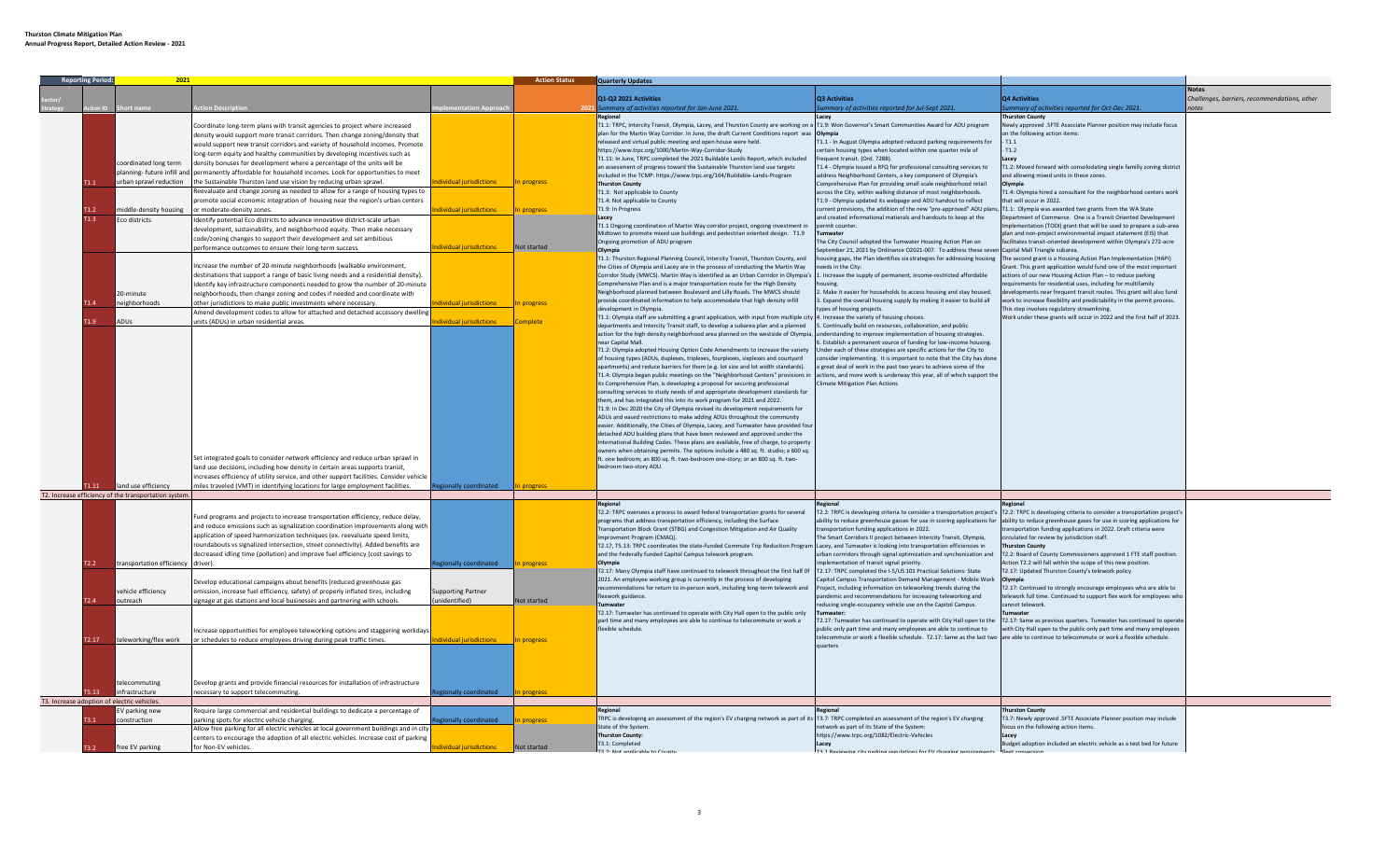| 2021<br><b>Reporting Perior</b> |                   |                                                      | <b>Action Status</b>                                                                    | <b>Quarterly Updates</b> |             |                                                                                                                                                     |                                                                                                                                      |                                                                                                                                                   |                                              |
|---------------------------------|-------------------|------------------------------------------------------|-----------------------------------------------------------------------------------------|--------------------------|-------------|-----------------------------------------------------------------------------------------------------------------------------------------------------|--------------------------------------------------------------------------------------------------------------------------------------|---------------------------------------------------------------------------------------------------------------------------------------------------|----------------------------------------------|
|                                 |                   |                                                      |                                                                                         |                          |             |                                                                                                                                                     |                                                                                                                                      |                                                                                                                                                   |                                              |
|                                 |                   |                                                      |                                                                                         |                          |             | Q1-Q2 2021 Activities                                                                                                                               | <b>Q3 Activities</b>                                                                                                                 | <b>Q4 Activities</b>                                                                                                                              | Challenges, barriers, recommendations, other |
|                                 |                   |                                                      |                                                                                         | <b>nentation Approx</b>  |             | mmary of activities reported for Jan-June 2021.                                                                                                     | ummary of activities reported for Jul-Sept 2021.                                                                                     | immary of activities reported for Oct-Dec 2021.                                                                                                   |                                              |
|                                 |                   |                                                      |                                                                                         |                          |             | Regiona                                                                                                                                             |                                                                                                                                      | hurston County                                                                                                                                    |                                              |
|                                 |                   |                                                      | Coordinate long-term plans with transit agencies to project where increased             |                          |             | T1.1: TRPC, Intercity Transit, Olympia, Lacey, and Thurston County are working on a T1.9: Won Governor's Smart Communities Award for ADU program    |                                                                                                                                      | Newly approved .5FTE Associate Planner position may include focus                                                                                 |                                              |
|                                 |                   |                                                      | density would support more transit corridors. Then change zoning/density that           |                          |             | plan for the Martin Way Corridor. In June, the draft Current Conditions report was Olympia                                                          |                                                                                                                                      | on the following action items:                                                                                                                    |                                              |
|                                 |                   |                                                      | would support new transit corridors and variety of household incomes. Promote           |                          |             | released and virtual public meeting and open house were held.                                                                                       | T1.1 - In August Olympia adopted reduced parking requirements for                                                                    | T1.1                                                                                                                                              |                                              |
|                                 |                   |                                                      | ong-term equity and healthy communities by developing incentives such as                |                          |             | https://www.trpc.org/1000/Martin-Way-Corridor-Study                                                                                                 | certain housing types when located within one quarter mile of                                                                        | T1.2                                                                                                                                              |                                              |
|                                 |                   | oordinated long term                                 | lensity bonuses for development where a percentage of the units will be                 |                          |             | T1.11: In June, TRPC completed the 2021 Buildable Lands Report, which included                                                                      | frequent transit. (Ord. 7288)                                                                                                        |                                                                                                                                                   |                                              |
|                                 |                   |                                                      |                                                                                         |                          |             | an assessment of progress toward the Sustainable Thurston land use targets                                                                          | T1.4 - Olympia issued a RFQ for professional consulting services to                                                                  | T1.2: Moved forward with consolodating single familly zoning district                                                                             |                                              |
|                                 |                   | lanning- future infill and                           | ermanently affordable for household incomes. Look for opportunities to meet             |                          |             | included in the TCMP: https://www.trpc.org/164/Buildable-Lands-Program                                                                              | address Neighborhood Centers, a key component of Olympia's                                                                           | and allowing mixed units in these zones.                                                                                                          |                                              |
|                                 |                   | urban sprawl reduction                               | he Sustainable Thurston land use vision by reducing urban sprawl.                       | lividual jurisdictions   | n progress  | <b>Thurston County</b>                                                                                                                              | Comprehensive Plan for providing small scale neighborhood retail                                                                     | Olympia                                                                                                                                           |                                              |
|                                 |                   |                                                      | eevaluate and change zoning as needed to allow for a range of housing types to          |                          |             | T1.3: Not applicable to County                                                                                                                      | across the City, within walking distance of most neighborhoods.                                                                      | T1.4: Olympia hired a consultant for the neighborhood centers work                                                                                |                                              |
|                                 |                   |                                                      | romote social economic integration of housing near the region's urban centers           |                          |             | T1.4: Not applicable to County                                                                                                                      | T1.9 - Olympia updated its webpage and ADU handout to reflect                                                                        | that will occur in 2022.                                                                                                                          |                                              |
|                                 |                   | niddle-density housing                               | moderate-density zones                                                                  | vidual jurisdictions     | progress    | T1.9: In Progress                                                                                                                                   | current provisions, the addition of the new "pre-approved" ADU plans                                                                 | T1.1: Olympia was awarded two grants from the WA State                                                                                            |                                              |
|                                 |                   | Eco districts                                        | dentify potential Eco districts to advance innovative district-scale urban              |                          |             |                                                                                                                                                     | and created informational matierals and handouts to keep at the                                                                      | Department of Commerce. One is a Transit Oriented Development                                                                                     |                                              |
|                                 |                   |                                                      | levelopment, sustainability, and neighborhood equity. Then make necessary               |                          |             | T1.1 Ongoing coordination of Martin Way corridor project, ongoing investment in                                                                     | permit counter                                                                                                                       | nplementation (TODI) grant that will be used to prepare a sub-area                                                                                |                                              |
|                                 |                   |                                                      | code/zoning changes to support their development and set ambitious                      |                          |             | Midtown to promote mixed use buildings and pedestrian oriented design. T1.9                                                                         | Tumwater                                                                                                                             | plan and non-project environmental impact statement (EIS) that                                                                                    |                                              |
|                                 |                   |                                                      | erformance outcomes to ensure their long-term success.                                  | dividual jurisdictions   | Not started | Ongoing promotion of ADU program                                                                                                                    | The City Council adopted the Tumwater Housing Action Plan on                                                                         | acilitates transit-oriented development within Olympia's 272-acre                                                                                 |                                              |
|                                 |                   |                                                      |                                                                                         |                          |             |                                                                                                                                                     | eptember 21, 2021 by Ordinance O2021-007. To address these sever                                                                     | Capital Mall Triangle subarea.                                                                                                                    |                                              |
|                                 |                   |                                                      |                                                                                         |                          |             | T1.1: Thurston Regional Planning Council, Intercity Transit, Thurston County, and                                                                   | nousing gaps, the Plan identifies six strategies for addressing housing                                                              | The second grant is a Housing Action Plan Implementation (HAPI)                                                                                   |                                              |
|                                 |                   |                                                      | Increase the number of 20-minute neighborhoods (walkable environment,                   |                          |             | the Cities of Olympia and Lacey are in the process of conducting the Martin Way                                                                     | needs in the City:                                                                                                                   | Grant. This grant application would fund one of the most important                                                                                |                                              |
|                                 |                   |                                                      | destinations that support a range of basic living needs and a residential density).     |                          |             | Corridor Study (MWCS). Martin Way is identified as an Urban Corridor in Olympia's 1. Increase the supply of permanent, income-restricted affordable |                                                                                                                                      | actions of our new Housing Action Plan - to reduce parking                                                                                        |                                              |
|                                 |                   |                                                      | Identify key infrastructure components needed to grow the number of 20-minute           |                          |             | Comprehensive Plan and is a major transportation route for the High Density                                                                         | housing.                                                                                                                             | equirements for residential uses, including for multifamily                                                                                       |                                              |
|                                 |                   | 0-minute                                             | neighborhoods, then change zoning and codes if needed and coordinate with               |                          |             | Neighborhood planned between Boulevard and Lilly Roads. The MWCS should                                                                             | . Make it easier for households to access housing and stay housed.                                                                   | levelopments near frequent transit routes. This grant will also fund                                                                              |                                              |
|                                 |                   | neighborhoods                                        | other jurisdictions to make public investments where necessary.                         | dividual jurisdictions   | n progress  | provide coordinated information to help accommodate that high density infill                                                                        | 3. Expand the overall housing supply by making it easier to build all                                                                | vork to increase flexibility and predictability in the permit process.                                                                            |                                              |
|                                 |                   |                                                      | Amend development codes to allow for attached and detached accessory dwellin            |                          |             | development in Olympia.                                                                                                                             | types of housing projects                                                                                                            | This step involves regulatory streamlining.                                                                                                       |                                              |
|                                 | $1.9 -$           | ADUs                                                 | nits (ADUs) in urban residential areas.                                                 | dividual jurisdictions   | omplete     | T1.1: Olympia staff are submitting a grant application, with input from multiple city 4. Increase the variety of housing choices.                   |                                                                                                                                      | Work under these grants will occur in 2022 and the first half of 2023.                                                                            |                                              |
|                                 |                   |                                                      |                                                                                         |                          |             | departments and Intercity Transit staff, to develop a subarea plan and a planned                                                                    | 5. Continually build on resources, collaboration, and public                                                                         |                                                                                                                                                   |                                              |
|                                 |                   |                                                      |                                                                                         |                          |             | action for the high density neighborhood area planned on the westside of Olympia, understanding to improve implementation of housing strategies.    |                                                                                                                                      |                                                                                                                                                   |                                              |
|                                 |                   |                                                      |                                                                                         |                          |             | near Capital Mall.                                                                                                                                  | 5. Establish a permanent source of funding for low-income housing.                                                                   |                                                                                                                                                   |                                              |
|                                 |                   |                                                      |                                                                                         |                          |             | T1.2: Olympia adopted Housing Option Code Amendments to increase the variety                                                                        | Inder each of these strategies are specific actions for the City to                                                                  |                                                                                                                                                   |                                              |
|                                 |                   |                                                      |                                                                                         |                          |             | of housing types (ADUs, duplexes, triplexes, fourplexes, sixplexes and courtyard                                                                    | consider implementing. It is important to note that the City has done                                                                |                                                                                                                                                   |                                              |
|                                 |                   |                                                      |                                                                                         |                          |             | apartments) and reduce barriers for them (e.g. lot size and lot width standards).                                                                   | a great deal of work in the past two years to achieve some of the                                                                    |                                                                                                                                                   |                                              |
|                                 |                   |                                                      |                                                                                         |                          |             | T1.4: Olympia began public meetings on the "Neighborhood Centers" provisions in                                                                     | actions, and more work is underway this year, all of which support the                                                               |                                                                                                                                                   |                                              |
|                                 |                   |                                                      |                                                                                         |                          |             | its Comprehensive Plan, is developing a proposal for securing professional                                                                          | <b>Climate Mitigation Plan Actions</b>                                                                                               |                                                                                                                                                   |                                              |
|                                 |                   |                                                      |                                                                                         |                          |             | consulting services to study needs of and appropriate development standards for                                                                     |                                                                                                                                      |                                                                                                                                                   |                                              |
|                                 |                   |                                                      |                                                                                         |                          |             | them, and has integrated this into its work program for 2021 and 2022.                                                                              |                                                                                                                                      |                                                                                                                                                   |                                              |
|                                 |                   |                                                      |                                                                                         |                          |             | T1.9: In Dec 2020 the City of Olympia revised its development requirements for                                                                      |                                                                                                                                      |                                                                                                                                                   |                                              |
|                                 |                   |                                                      |                                                                                         |                          |             | ADUs and eased restrictions to make adding ADUs throughout the community                                                                            |                                                                                                                                      |                                                                                                                                                   |                                              |
|                                 |                   |                                                      |                                                                                         |                          |             | easier. Additionally, the Cities of Olympia, Lacey, and Tumwater have provided four                                                                 |                                                                                                                                      |                                                                                                                                                   |                                              |
|                                 |                   |                                                      |                                                                                         |                          |             | detached ADU building plans that have been reviewed and approved under the                                                                          |                                                                                                                                      |                                                                                                                                                   |                                              |
|                                 |                   |                                                      |                                                                                         |                          |             | International Building Codes. These plans are available, free of charge, to property                                                                |                                                                                                                                      |                                                                                                                                                   |                                              |
|                                 |                   |                                                      |                                                                                         |                          |             | wners when obtaining permits. The options include a 480 sq. ft. studio; a 600 sq                                                                    |                                                                                                                                      |                                                                                                                                                   |                                              |
|                                 |                   |                                                      | Set integrated goals to consider network efficiency and reduce urban sprawl in          |                          |             | ft. one bedroom; an 800 sq. ft. two-bedroom one-story; or an 800 sq. ft. two-                                                                       |                                                                                                                                      |                                                                                                                                                   |                                              |
|                                 |                   |                                                      | land use decisions, including how density in certain areas supports transit,            |                          |             | bedroom two-story ADU.                                                                                                                              |                                                                                                                                      |                                                                                                                                                   |                                              |
|                                 |                   |                                                      | increases efficiency of utility service, and other support facilities. Consider vehicle |                          |             |                                                                                                                                                     |                                                                                                                                      |                                                                                                                                                   |                                              |
|                                 |                   | land use efficiency                                  | niles traveled (VMT) in identifying locations for large employment facilities.          | egionally coordinated    |             |                                                                                                                                                     |                                                                                                                                      |                                                                                                                                                   |                                              |
|                                 |                   | T2. Increase efficiency of the transportation system |                                                                                         |                          |             |                                                                                                                                                     |                                                                                                                                      |                                                                                                                                                   |                                              |
|                                 |                   |                                                      |                                                                                         |                          |             |                                                                                                                                                     |                                                                                                                                      |                                                                                                                                                   |                                              |
|                                 |                   |                                                      |                                                                                         |                          |             |                                                                                                                                                     |                                                                                                                                      |                                                                                                                                                   |                                              |
|                                 |                   |                                                      | Fund programs and projects to increase transportation efficiency, reduce delay,         |                          |             | T2.2: TRPC oversees a process to award federal transportation grants for several                                                                    |                                                                                                                                      | T2.2: TRPC is developing criteria to consider a transportation project's T2.2: TRPC is developing criteria to consider a transportation project's |                                              |
|                                 |                   |                                                      | and reduce emissions such as signalization coordination improvements along with         |                          |             | programs that address transportation efficiency, including the Surface                                                                              | ability to reduce greenhouse gasses for use in scoring applications for                                                              | ability to reduce greenhouse gases for use in scoring applications for                                                                            |                                              |
|                                 |                   |                                                      |                                                                                         |                          |             | Transportation Block Grant (STBG) and Congestion Mitigation and Air Quality                                                                         | transportation funding applications in 2022.                                                                                         | ransportation funding applications in 2022. Draft criteria were                                                                                   |                                              |
|                                 |                   |                                                      | application of speed harmonization techniques (ex. reevaluate speed limits,             |                          |             | Improvment Program (CMAQ).                                                                                                                          | The Smart Corridors II project between Intercity Transit, Olympia.                                                                   | circulated for review by jurisdiction staff.                                                                                                      |                                              |
|                                 |                   |                                                      | roundabouts vs signalized intersection, street connectivity). Added benefits are        |                          |             | T2.17, T5.13: TRPC coordinates the state-funded Commute Trip Reduction Program Lacey, and Tumwater is looking into transportation efficiencies in   |                                                                                                                                      | <b>Nurston County</b>                                                                                                                             |                                              |
|                                 |                   |                                                      | decreased idling time (pollution) and improve fuel efficiency (cost savings to          |                          |             | and the Federally funded Capitol Campus telework program.                                                                                           | urban corrridors through signal optimization and synchonization and                                                                  | T2.2: Board of County Commissioners approved 1 FTE staff position.                                                                                |                                              |
|                                 |                   | transportation efficiency                            |                                                                                         | dionally coordinated     | n progress  | Olympia                                                                                                                                             | mplementation of transit signal priority.                                                                                            | Action T2.2 will fall within the scope of this new position.                                                                                      |                                              |
|                                 |                   |                                                      |                                                                                         |                          |             | T2.17: Many Olympia staff have continued to telework throughout the first half Of                                                                   | T2.17: TRPC completed the I-5/US 101 Practical Solutions: State                                                                      | T2.17: Updated Thurston County's telework policy                                                                                                  |                                              |
|                                 |                   |                                                      | Develop educational campaigns about benefits (reduced greenhouse gas                    |                          |             | 2021. An employee working group is currently in the process of developing                                                                           | Capitol Campus Transportation Demand Management - Mobile Work Olympia                                                                |                                                                                                                                                   |                                              |
|                                 |                   | vehicle efficiency                                   | nission, increase fuel efficiency, safety) of properly inflated tires, including        | supporting Partner       |             | recommendations for return to in-person work, including long-term telework and                                                                      | Project, including information on teleworking trends during the                                                                      | T2.17: Continued to strongly encourage employees who are able to                                                                                  |                                              |
|                                 |                   | outreach                                             | gnage at gas stations and local businesses and partnering with schools.                 | nidentified)             | lot started | exwork guidance.                                                                                                                                    | pandemic and recommendations for increasing teleworking and                                                                          | elework full time. Continued to support flex work for employees who                                                                               |                                              |
|                                 |                   |                                                      |                                                                                         |                          |             | Tumwater                                                                                                                                            | reducing single-occupancy vehicle use on the Capitol Campus.                                                                         | annot telework.                                                                                                                                   |                                              |
|                                 |                   |                                                      |                                                                                         |                          |             | T2.17: Tumwater has continued to operate with City Hall open to the public only                                                                     |                                                                                                                                      |                                                                                                                                                   |                                              |
|                                 |                   |                                                      |                                                                                         |                          |             | part time and many employees are able to continue to telecommute or work a                                                                          | T2.17: Tumwater has continued to operate with City Hall open to the                                                                  | T2.17: Same as previous quarters. Tumwater has continued to operate                                                                               |                                              |
|                                 |                   |                                                      | Increase opportunities for employee teleworking options and staggering workdays         |                          |             | flexible schedule.                                                                                                                                  | public only part time and many employees are able to continue to                                                                     | with City Hall open to the public only part time and many employees                                                                               |                                              |
|                                 | T <sub>2.17</sub> | teleworking/flex work                                | or schedules to reduce employees driving during peak traffic times.                     | lividual iurisdictions   | In progress |                                                                                                                                                     | elecommute or work a flexible schedule. T2.17: Same as the last two are able to continue to telecommute or work a flexible schedule. |                                                                                                                                                   |                                              |
|                                 |                   |                                                      |                                                                                         |                          |             |                                                                                                                                                     | <b>uarters</b>                                                                                                                       |                                                                                                                                                   |                                              |
|                                 |                   |                                                      |                                                                                         |                          |             |                                                                                                                                                     |                                                                                                                                      |                                                                                                                                                   |                                              |
|                                 |                   |                                                      |                                                                                         |                          |             |                                                                                                                                                     |                                                                                                                                      |                                                                                                                                                   |                                              |
|                                 |                   |                                                      |                                                                                         |                          |             |                                                                                                                                                     |                                                                                                                                      |                                                                                                                                                   |                                              |
|                                 |                   | telecommuting                                        | Develop grants and provide financial resources for installation of infrastructure       |                          |             |                                                                                                                                                     |                                                                                                                                      |                                                                                                                                                   |                                              |
|                                 |                   | nfrastructure                                        |                                                                                         |                          |             |                                                                                                                                                     |                                                                                                                                      |                                                                                                                                                   |                                              |
|                                 |                   |                                                      | ecessary to support telecommuting.                                                      | gionally coordinated     | progress    |                                                                                                                                                     |                                                                                                                                      |                                                                                                                                                   |                                              |
|                                 |                   | T3. Increase adoption of electric vehicles.          |                                                                                         |                          |             |                                                                                                                                                     |                                                                                                                                      |                                                                                                                                                   |                                              |
|                                 |                   | V parking new                                        | Require large commercial and residential buildings to dedicate a percentage of          |                          |             |                                                                                                                                                     |                                                                                                                                      | <b>Nurston County</b>                                                                                                                             |                                              |
|                                 |                   | :onstruction                                         | arking spots for electric vehicle charging.                                             | zionally coordinated     | progress    | TRPC is developing an assessment of the region's EV charging network as part of its 73.7: TRPC completed an assessment of the region's EV charging  |                                                                                                                                      | 3.7: Newly approved .5FTE Associate Planner position may include                                                                                  |                                              |
|                                 |                   |                                                      | Allow free parking for all electric vehicles at local government buildings and in city  |                          |             | State of the System                                                                                                                                 | etwork as part of its State of the System:                                                                                           | ocus on the following action items.                                                                                                               |                                              |
|                                 |                   |                                                      | centers to encourage the adoption of all electric vehicles. Increase cost of parking    |                          |             | <b>Thurston County:</b>                                                                                                                             | https://www.trpc.org/1082/Electric-Vehicles                                                                                          | Lacey                                                                                                                                             |                                              |
|                                 |                   | free EV parking                                      | for Non-EV vehicles.                                                                    | dividual jurisdictions   | Not started | T3.1: Completed                                                                                                                                     | Lacev                                                                                                                                | Budget adoption included an electric vehicle as a test bed for future                                                                             |                                              |
|                                 |                   |                                                      |                                                                                         |                          |             |                                                                                                                                                     | T2 1 Pos                                                                                                                             |                                                                                                                                                   |                                              |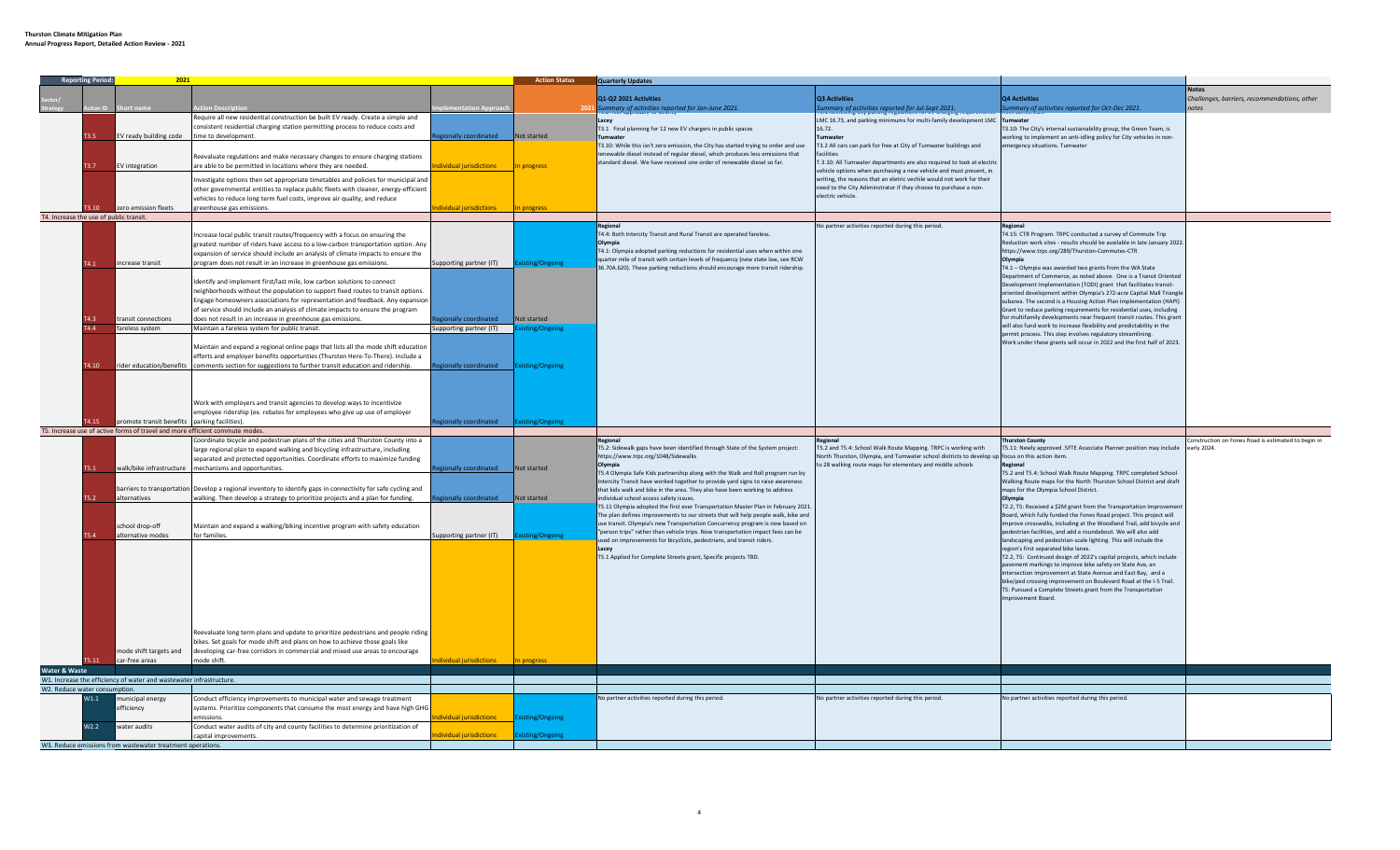|                                         |             | 2021                                                                         |                                                                                                               |                                          | <b>Action Status</b>    | Quarterly Updates                                                                                                                                                |                                                                                                                                              |                                                                                                                                            |                                                    |
|-----------------------------------------|-------------|------------------------------------------------------------------------------|---------------------------------------------------------------------------------------------------------------|------------------------------------------|-------------------------|------------------------------------------------------------------------------------------------------------------------------------------------------------------|----------------------------------------------------------------------------------------------------------------------------------------------|--------------------------------------------------------------------------------------------------------------------------------------------|----------------------------------------------------|
|                                         |             |                                                                              |                                                                                                               |                                          |                         |                                                                                                                                                                  |                                                                                                                                              |                                                                                                                                            |                                                    |
|                                         |             |                                                                              |                                                                                                               |                                          |                         | Q1-Q2 2021 Activities                                                                                                                                            | Q3 Activities                                                                                                                                | Q4 Activities                                                                                                                              | Challenges, barriers, recommendations, other       |
|                                         |             |                                                                              | ction Description                                                                                             | ntation Approa                           | 202                     | mmary of activities reported for Jan-June 2021.                                                                                                                  | Summary of activities reported for Jul-Sept 2021.                                                                                            | immary of activities reported for Oct-Dec 2021.                                                                                            |                                                    |
|                                         |             |                                                                              | Require all new residential construction be built EV ready. Create a simple and                               |                                          |                         |                                                                                                                                                                  | LMC 16.73, and parking minimums for multi-family development LMC                                                                             | Tumwater                                                                                                                                   |                                                    |
|                                         |             |                                                                              | onsistent residential charging station permitting process to reduce costs and                                 |                                          |                         | T3.1 Final planning for 12 new EV chargers in public spaces                                                                                                      | 16.72.                                                                                                                                       | T3.10: The City's internal sustainability group, the Green Team, is                                                                        |                                                    |
|                                         |             | EV ready building code                                                       | time to development.                                                                                          | gionally coordinated                     | Not started             | <b>Fumwater</b>                                                                                                                                                  | Tumwater                                                                                                                                     | working to implement an anti-idling policy for City vehicles in non-                                                                       |                                                    |
|                                         |             |                                                                              |                                                                                                               |                                          |                         | T3.10: While this isn't zero emission, the City has started trying to order and use                                                                              | T3.2 All cars can park for free at City of Tumwater buildings and                                                                            | mergency situations. Tumwater                                                                                                              |                                                    |
|                                         |             |                                                                              | Reevaluate regulations and make necessary changes to ensure charging stations                                 |                                          |                         | enewable diesel instead of regular diesel, which produces less emissions that                                                                                    |                                                                                                                                              |                                                                                                                                            |                                                    |
|                                         | T3.7        | EV integration                                                               | are able to be permitted in locations where they are needed.                                                  | dividual jurisdictions                   | In progress             | standard diesel. We have received one order of renewable diesel so far.                                                                                          | T.3.10: All Tumwater departments are also required to look at electric<br>vehicle options when purchasing a new vehicle and must present, in |                                                                                                                                            |                                                    |
|                                         |             |                                                                              | nvestigate options then set appropriate timetables and policies for municipal and                             |                                          |                         |                                                                                                                                                                  | writing, the reasons that an eletric vechile would not work for their                                                                        |                                                                                                                                            |                                                    |
|                                         |             |                                                                              | other governmental entities to replace public fleets with cleaner, energy-efficient                           |                                          |                         |                                                                                                                                                                  | need to the City Adiminstrator if they choose to purchase a non-                                                                             |                                                                                                                                            |                                                    |
|                                         |             |                                                                              |                                                                                                               |                                          |                         |                                                                                                                                                                  | electric vehicle.                                                                                                                            |                                                                                                                                            |                                                    |
|                                         | $3,10^{-1}$ | zero emission fleets                                                         | ehicles to reduce long term fuel costs, improve air quality, and reduce<br>reenhouse gas emissions.           | dividual iurisdictions                   | In progress             |                                                                                                                                                                  |                                                                                                                                              |                                                                                                                                            |                                                    |
| T4. Increase the use of public transit. |             |                                                                              |                                                                                                               |                                          |                         |                                                                                                                                                                  |                                                                                                                                              |                                                                                                                                            |                                                    |
|                                         |             |                                                                              |                                                                                                               |                                          |                         | Regional                                                                                                                                                         | No partner activities reported during this period.                                                                                           | Regional                                                                                                                                   |                                                    |
|                                         |             |                                                                              | ncrease local public transit routes/frequency with a focus on ensuring the                                    |                                          |                         | T4.4: Both Intercity Transit and Rural Transit are operated fareless.                                                                                            |                                                                                                                                              | T4.15: CTR Program. TRPC conducted a survey of Commute Trip                                                                                |                                                    |
|                                         |             |                                                                              | greatest number of riders have access to a low-carbon transportation option. Any                              |                                          |                         | Olympia                                                                                                                                                          |                                                                                                                                              | Reduction work sites - results should be available in late January 2022.                                                                   |                                                    |
|                                         |             |                                                                              | expansion of service should include an analysis of climate impacts to ensure the                              |                                          |                         | T4.1: Olympia adopted parking reductions for residential uses when within one                                                                                    |                                                                                                                                              | https://www.trpc.org/289/Thurston-Commutes-CTR                                                                                             |                                                    |
|                                         | 14.1        | increase transit                                                             | program does not result in an increase in greenhouse gas emissions.                                           | Supporting partner (IT)                  | sting/Ongoing           | quarter mile of transit with certain levels of frequency (new state law, see RCW                                                                                 |                                                                                                                                              | Olympia                                                                                                                                    |                                                    |
|                                         |             |                                                                              |                                                                                                               |                                          |                         | 36.70A.620). These parking reductions should encourage more transit ridership.                                                                                   |                                                                                                                                              | F4.1 - Olympia was awarded two grants from the WA State                                                                                    |                                                    |
|                                         |             |                                                                              | dentify and implement first/last mile, low carbon solutions to connect                                        |                                          |                         |                                                                                                                                                                  |                                                                                                                                              | Department of Commerce, as noted above. One is a Transit Oriented                                                                          |                                                    |
|                                         |             |                                                                              | neighborhoods without the population to support fixed routes to transit options.                              |                                          |                         |                                                                                                                                                                  |                                                                                                                                              | Development Implementation (TODI) grant that facilitates transit-                                                                          |                                                    |
|                                         |             |                                                                              | Engage homeowners associations for representation and feedback. Any expansion                                 |                                          |                         |                                                                                                                                                                  |                                                                                                                                              | oriented development within Olympia's 272-acre Capital Mall Triangle                                                                       |                                                    |
|                                         |             |                                                                              | of service should include an analysis of climate impacts to ensure the program                                |                                          |                         |                                                                                                                                                                  |                                                                                                                                              | subarea. The second is a Housing Action Plan Implementation (HAPI)<br>Grant to reduce parking requirements for residential uses, including |                                                    |
|                                         |             | transit connections                                                          | does not result in an increase in greenhouse gas emissions.                                                   | egionally coordinated                    | Not started             |                                                                                                                                                                  |                                                                                                                                              | or multifamily developments near frequent transit routes. This grant                                                                       |                                                    |
|                                         | 44          | fareless system                                                              | Maintain a fareless system for public transit.                                                                | Supporting partner (IT) Existing/Ongoing |                         |                                                                                                                                                                  |                                                                                                                                              | will also fund work to increase flexibility and predictability in the                                                                      |                                                    |
|                                         |             |                                                                              |                                                                                                               |                                          |                         |                                                                                                                                                                  |                                                                                                                                              | ermit process. This step involves regulatory streamlining.                                                                                 |                                                    |
|                                         |             |                                                                              | Maintain and expand a regional online page that lists all the mode shift education                            |                                          |                         |                                                                                                                                                                  |                                                                                                                                              | Work under these grants will occur in 2022 and the first half of 2023.                                                                     |                                                    |
|                                         |             |                                                                              | efforts and employer benefits opportunties (Thurston Here-To-There). Include a                                |                                          |                         |                                                                                                                                                                  |                                                                                                                                              |                                                                                                                                            |                                                    |
|                                         | T4.10       | rider education/benefits                                                     | comments section for suggestions to further transit education and ridership.                                  | egionally coordinated Existing/Ongoing   |                         |                                                                                                                                                                  |                                                                                                                                              |                                                                                                                                            |                                                    |
|                                         |             |                                                                              |                                                                                                               |                                          |                         |                                                                                                                                                                  |                                                                                                                                              |                                                                                                                                            |                                                    |
|                                         |             |                                                                              |                                                                                                               |                                          |                         |                                                                                                                                                                  |                                                                                                                                              |                                                                                                                                            |                                                    |
|                                         |             |                                                                              |                                                                                                               |                                          |                         |                                                                                                                                                                  |                                                                                                                                              |                                                                                                                                            |                                                    |
|                                         |             |                                                                              |                                                                                                               |                                          |                         |                                                                                                                                                                  |                                                                                                                                              |                                                                                                                                            |                                                    |
|                                         |             |                                                                              | Work with employers and transit agencies to develop ways to incentivize                                       |                                          |                         |                                                                                                                                                                  |                                                                                                                                              |                                                                                                                                            |                                                    |
|                                         |             |                                                                              | employee ridership (ex. rebates for employees who give up use of employer                                     |                                          |                         |                                                                                                                                                                  |                                                                                                                                              |                                                                                                                                            |                                                    |
|                                         |             | promote transit benefits parking facilities).                                |                                                                                                               | gionally coordinated                     | <b>Existing/Ongoing</b> |                                                                                                                                                                  |                                                                                                                                              |                                                                                                                                            |                                                    |
|                                         |             | T5. Increase use of active forms of travel and more efficient commute modes. |                                                                                                               |                                          |                         |                                                                                                                                                                  |                                                                                                                                              | hurston County                                                                                                                             | onstruction on Fones Road is estimated to begin in |
|                                         |             |                                                                              | Coordinate bicycle and pedestrian plans of the cities and Thurston County into a                              |                                          |                         | T5.2: Sidewalk gaps have been identified through State of the System project:                                                                                    | T5.2 and T5.4: School Walk Route Mapping. TRPC is working with                                                                               | T5.11: Newly approved .SFTE Associate Planner position may include early 2024.                                                             |                                                    |
|                                         |             |                                                                              | large regional plan to expand walking and bicycling infrastructure, including                                 |                                          |                         | https://www.trpc.org/1048/Sidewalks                                                                                                                              | North Thurston, Olympia, and Tumwater school districts to develop up focus on this action item.                                              |                                                                                                                                            |                                                    |
|                                         |             |                                                                              | separated and protected opportunities. Coordinate efforts to maximize funding                                 |                                          |                         |                                                                                                                                                                  | to 28 walking route maps for elementary and middle schools                                                                                   |                                                                                                                                            |                                                    |
|                                         |             |                                                                              | walk/bike infrastructure mechanisms and opportunities.                                                        | gionally coordinated                     | Not started             | T5.4 Olympia Safe Kids partnership along with the Walk and Roll program run by                                                                                   |                                                                                                                                              | T5.2 and T5.4: School Walk Route Mapping. TRPC completed School                                                                            |                                                    |
|                                         |             |                                                                              |                                                                                                               |                                          |                         | Intercity Transit have worked together to provide yard signs to raise awareness                                                                                  |                                                                                                                                              | Walking Route maps for the North Thurston School District and draft                                                                        |                                                    |
|                                         |             |                                                                              | barriers to transportation Develop a regional inventory to identify gaps in connectivity for safe cycling and |                                          |                         | that kids walk and bike in the area. They also have been working to address                                                                                      |                                                                                                                                              | maps for the Olympia School District.                                                                                                      |                                                    |
|                                         |             | alternatives                                                                 | valking. Then develop a strategy to prioritize projects and a plan for funding.                               | tionally coordinated                     | Not started             | ndividual school access safety issues.                                                                                                                           |                                                                                                                                              | Olympia                                                                                                                                    |                                                    |
|                                         |             |                                                                              |                                                                                                               |                                          |                         | T5.11 Olympia adopted the first ever Transportation Master Plan in February 2021.                                                                                |                                                                                                                                              | T2.2, T5: Received a \$2M grant from the Transportation Improvement                                                                        |                                                    |
|                                         |             |                                                                              |                                                                                                               |                                          |                         | The plan defines improvements to our streets that will help people walk, bike and                                                                                |                                                                                                                                              | loard, which fully funded the Fones Road project. This project will                                                                        |                                                    |
|                                         |             | school drop-off                                                              | Maintain and expand a walking/biking incentive program with safety education                                  |                                          |                         | use transit. Olympia's new Transportation Concurrency program is now based on<br>'person trips" rather than vehicle trips. Now transportation impact fees can be |                                                                                                                                              | nprove crosswalks, including at the Woodland Trail, add bicycle and<br>bedestrian facilities, and add a roundabout. We will also add       |                                                    |
|                                         | 5.4         | alternative modes                                                            | for families.                                                                                                 | Supporting partner (IT)                  | sting/Ongoin            | used on improvements for bicyclists, pedestrians, and transit riders.                                                                                            |                                                                                                                                              | andscaping and pedestrian-scale lighting. This will include the                                                                            |                                                    |
|                                         |             |                                                                              |                                                                                                               |                                          |                         | Lacey                                                                                                                                                            |                                                                                                                                              | region's first separated bike lanes.                                                                                                       |                                                    |
|                                         |             |                                                                              |                                                                                                               |                                          |                         | T5.1 Applied for Complete Streets grant, Specific projects TBD.                                                                                                  |                                                                                                                                              | [2.2, T5: Continued design of 2022's capital projects, which include                                                                       |                                                    |
|                                         |             |                                                                              |                                                                                                               |                                          |                         |                                                                                                                                                                  |                                                                                                                                              | avement markings to improve bike safety on State Ave, an                                                                                   |                                                    |
|                                         |             |                                                                              |                                                                                                               |                                          |                         |                                                                                                                                                                  |                                                                                                                                              | tersection improvement at State Avenue and East Bay, and a                                                                                 |                                                    |
|                                         |             |                                                                              |                                                                                                               |                                          |                         |                                                                                                                                                                  |                                                                                                                                              | bike/ped crossing improvement on Boulevard Road at the I-5 Trail.                                                                          |                                                    |
|                                         |             |                                                                              |                                                                                                               |                                          |                         |                                                                                                                                                                  |                                                                                                                                              | T5: Pursued a Complete Streets grant from the Transportation                                                                               |                                                    |
|                                         |             |                                                                              |                                                                                                               |                                          |                         |                                                                                                                                                                  |                                                                                                                                              | mprovement Board.                                                                                                                          |                                                    |
|                                         |             |                                                                              |                                                                                                               |                                          |                         |                                                                                                                                                                  |                                                                                                                                              |                                                                                                                                            |                                                    |
|                                         |             |                                                                              |                                                                                                               |                                          |                         |                                                                                                                                                                  |                                                                                                                                              |                                                                                                                                            |                                                    |
|                                         |             |                                                                              | Reevaluate long term plans and update to prioritize pedestrians and people riding                             |                                          |                         |                                                                                                                                                                  |                                                                                                                                              |                                                                                                                                            |                                                    |
|                                         |             |                                                                              | bikes. Set goals for mode shift and plans on how to achieve those goals like                                  |                                          |                         |                                                                                                                                                                  |                                                                                                                                              |                                                                                                                                            |                                                    |
|                                         |             | node shift targets and                                                       | developing car-free corridors in commercial and mixed use areas to encourage                                  |                                          |                         |                                                                                                                                                                  |                                                                                                                                              |                                                                                                                                            |                                                    |
|                                         |             | car-free areas                                                               | ande shift                                                                                                    |                                          |                         |                                                                                                                                                                  |                                                                                                                                              |                                                                                                                                            |                                                    |
|                                         |             |                                                                              |                                                                                                               |                                          |                         |                                                                                                                                                                  |                                                                                                                                              |                                                                                                                                            |                                                    |
| Water & Waste                           |             |                                                                              |                                                                                                               |                                          |                         |                                                                                                                                                                  |                                                                                                                                              |                                                                                                                                            |                                                    |
|                                         |             | W1. Increase the efficiency of water and wastewater infrastructure.          |                                                                                                               |                                          |                         |                                                                                                                                                                  |                                                                                                                                              |                                                                                                                                            |                                                    |
| W2. Reduce water consumption.           |             |                                                                              |                                                                                                               |                                          |                         |                                                                                                                                                                  |                                                                                                                                              |                                                                                                                                            |                                                    |
|                                         | W1.1        | municipal energy                                                             | Conduct efficiency improvements to municipal water and sewage treatment                                       |                                          |                         | No partner activities reported during this period.                                                                                                               | No partner activities reported during this period.                                                                                           | No partner activities reported during this period.                                                                                         |                                                    |
|                                         |             | efficiency                                                                   | systems. Prioritize components that consume the most energy and have high GHG                                 |                                          |                         |                                                                                                                                                                  |                                                                                                                                              |                                                                                                                                            |                                                    |
|                                         |             |                                                                              |                                                                                                               | dividual jurisdictions                   | <b>Existing/Ongoing</b> |                                                                                                                                                                  |                                                                                                                                              |                                                                                                                                            |                                                    |
|                                         | W2.2        | water audits                                                                 | Conduct water audits of city and county facilities to determine prioritization of                             | dividual jurisdictions                   |                         |                                                                                                                                                                  |                                                                                                                                              |                                                                                                                                            |                                                    |
|                                         |             | W3. Reduce emissions from wastewater treatment operations.                   | apital improvements.                                                                                          |                                          | <b>Existing/Ongoing</b> |                                                                                                                                                                  |                                                                                                                                              |                                                                                                                                            |                                                    |
|                                         |             |                                                                              |                                                                                                               |                                          |                         |                                                                                                                                                                  |                                                                                                                                              |                                                                                                                                            |                                                    |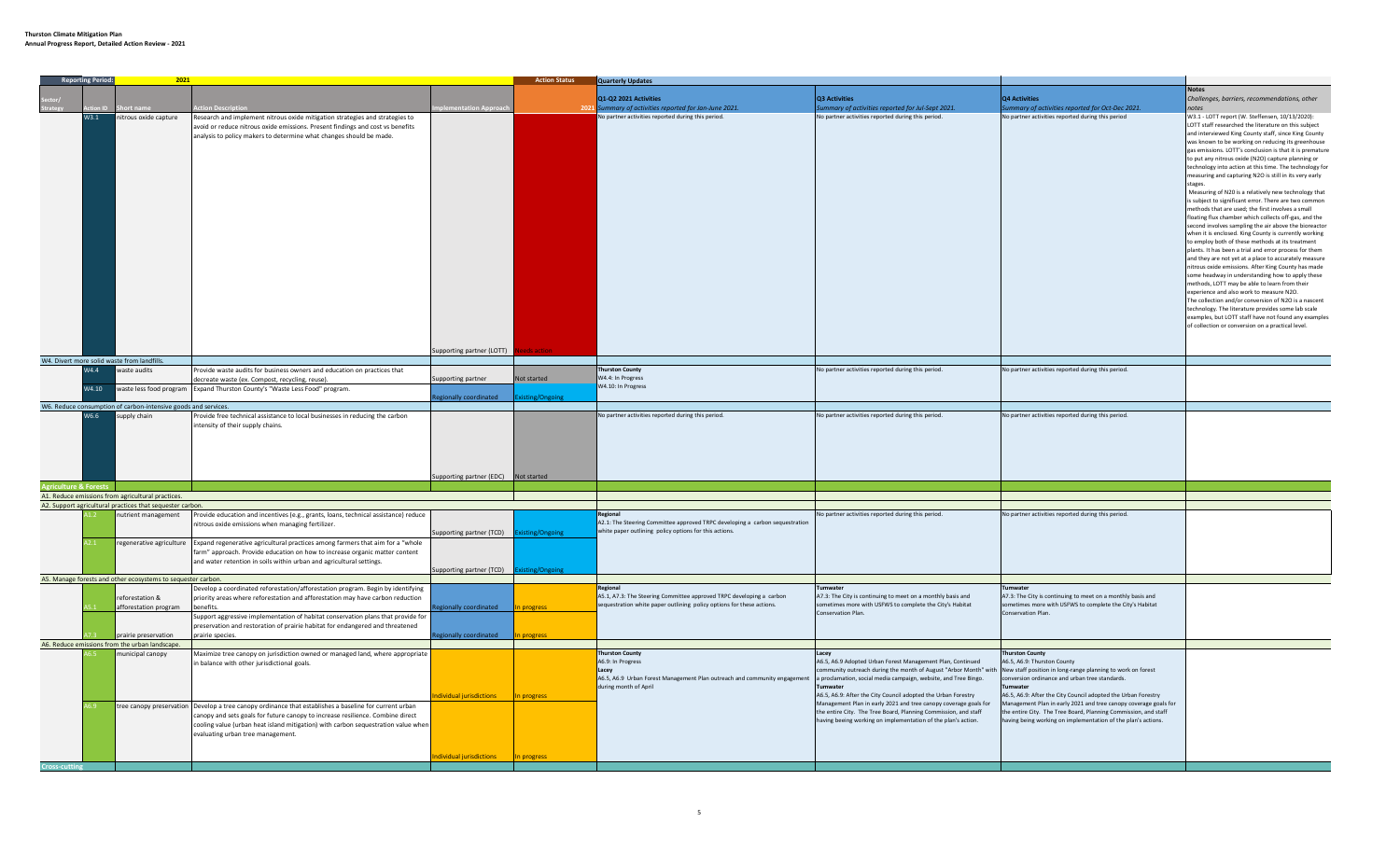|                    | <b>Reporting Period:</b><br>2021 |                                                                        |                                                                                                                                                                                                                                                                                                                                                                        | <b>Action Status</b>                                             | <b>Quarterly Updates</b> |                                                                                                                                                           |                                                                                                                                                                                                                                                                                                                                                                                                    |                                                                                                                                                                                                                   |                                                                                                                                                                                                                                                                                                                                                                                                                                                                                                                                                                                                                                                                                                                                                                                                                                                                                                                                                                                                                                                                                                                                                                                                                                                                                                                                                                                                                                  |
|--------------------|----------------------------------|------------------------------------------------------------------------|------------------------------------------------------------------------------------------------------------------------------------------------------------------------------------------------------------------------------------------------------------------------------------------------------------------------------------------------------------------------|------------------------------------------------------------------|--------------------------|-----------------------------------------------------------------------------------------------------------------------------------------------------------|----------------------------------------------------------------------------------------------------------------------------------------------------------------------------------------------------------------------------------------------------------------------------------------------------------------------------------------------------------------------------------------------------|-------------------------------------------------------------------------------------------------------------------------------------------------------------------------------------------------------------------|----------------------------------------------------------------------------------------------------------------------------------------------------------------------------------------------------------------------------------------------------------------------------------------------------------------------------------------------------------------------------------------------------------------------------------------------------------------------------------------------------------------------------------------------------------------------------------------------------------------------------------------------------------------------------------------------------------------------------------------------------------------------------------------------------------------------------------------------------------------------------------------------------------------------------------------------------------------------------------------------------------------------------------------------------------------------------------------------------------------------------------------------------------------------------------------------------------------------------------------------------------------------------------------------------------------------------------------------------------------------------------------------------------------------------------|
|                    |                                  |                                                                        |                                                                                                                                                                                                                                                                                                                                                                        |                                                                  |                          |                                                                                                                                                           |                                                                                                                                                                                                                                                                                                                                                                                                    |                                                                                                                                                                                                                   | <b>Notes</b>                                                                                                                                                                                                                                                                                                                                                                                                                                                                                                                                                                                                                                                                                                                                                                                                                                                                                                                                                                                                                                                                                                                                                                                                                                                                                                                                                                                                                     |
|                    |                                  |                                                                        |                                                                                                                                                                                                                                                                                                                                                                        |                                                                  |                          | Q1-Q2 2021 Activities                                                                                                                                     | Q3 Activities                                                                                                                                                                                                                                                                                                                                                                                      | <b>Q4 Activities</b>                                                                                                                                                                                              | Challenges, barriers, recommendations, other                                                                                                                                                                                                                                                                                                                                                                                                                                                                                                                                                                                                                                                                                                                                                                                                                                                                                                                                                                                                                                                                                                                                                                                                                                                                                                                                                                                     |
|                    |                                  |                                                                        | tion Descriptior                                                                                                                                                                                                                                                                                                                                                       | entation Approac                                                 | 202                      | Summary of activities reported for Jan-June 2021.                                                                                                         | ummary of activities reported for Jul-Sept 2021.                                                                                                                                                                                                                                                                                                                                                   | ummary of activities reported for Oct-Dec 2021.                                                                                                                                                                   |                                                                                                                                                                                                                                                                                                                                                                                                                                                                                                                                                                                                                                                                                                                                                                                                                                                                                                                                                                                                                                                                                                                                                                                                                                                                                                                                                                                                                                  |
|                    | W3.1                             | nitrous oxide capture                                                  | Research and implement nitrous oxide mitigation strategies and strategies to<br>avoid or reduce nitrous oxide emissions. Present findings and cost vs benefits<br>analysis to policy makers to determine what changes should be made.                                                                                                                                  |                                                                  |                          | No partner activities reported during this period.                                                                                                        | No partner activities reported during this period.                                                                                                                                                                                                                                                                                                                                                 | No partner activities reported during this period                                                                                                                                                                 | W3.1 - LOTT report (W. Steffensen, 10/13/2020):<br>LOTT staff researched the literature on this subject<br>and interviewed King County staff, since King County<br>was known to be working on reducing its greenhouse<br>gas emissions. LOTT's conclusion is that it is premature<br>to put any nitrous oxide (N2O) capture planning or<br>technology into action at this time. The technology for<br>measuring and capturing N2O is still in its very early<br>tages<br>Measuring of N20 is a relatively new technology that<br>is subject to significant error. There are two common<br>methods that are used; the first involves a small<br>floating flux chamber which collects off-gas, and the<br>second involves sampling the air above the bioreactor<br>when it is enclosed. King County is currently working<br>to employ both of these methods at its treatment<br>plants. It has been a trial and error process for them<br>and they are not yet at a place to accurately measure<br>nitrous oxide emissions. After King County has made<br>some headway in understanding how to apply these<br>methods. LOTT may be able to learn from their<br>experience and also work to measure N2O.<br>The collection and/or conversion of N2O is a nascent<br>technology. The literature provides some lab scale<br>examples, but LOTT staff have not found any examples<br>of collection or conversion on a practical level. |
|                    |                                  |                                                                        |                                                                                                                                                                                                                                                                                                                                                                        | upporting partner (LOTT)                                         |                          |                                                                                                                                                           |                                                                                                                                                                                                                                                                                                                                                                                                    |                                                                                                                                                                                                                   |                                                                                                                                                                                                                                                                                                                                                                                                                                                                                                                                                                                                                                                                                                                                                                                                                                                                                                                                                                                                                                                                                                                                                                                                                                                                                                                                                                                                                                  |
|                    |                                  | W4. Divert more solid waste from landfills.                            |                                                                                                                                                                                                                                                                                                                                                                        |                                                                  |                          |                                                                                                                                                           |                                                                                                                                                                                                                                                                                                                                                                                                    |                                                                                                                                                                                                                   |                                                                                                                                                                                                                                                                                                                                                                                                                                                                                                                                                                                                                                                                                                                                                                                                                                                                                                                                                                                                                                                                                                                                                                                                                                                                                                                                                                                                                                  |
|                    | W4.4                             | waste audits                                                           | rovide waste audits for business owners and education on practices that                                                                                                                                                                                                                                                                                                |                                                                  |                          | <b>Thurston County</b>                                                                                                                                    | No partner activities reported during this period.                                                                                                                                                                                                                                                                                                                                                 | No partner activities reported during this period.                                                                                                                                                                |                                                                                                                                                                                                                                                                                                                                                                                                                                                                                                                                                                                                                                                                                                                                                                                                                                                                                                                                                                                                                                                                                                                                                                                                                                                                                                                                                                                                                                  |
|                    |                                  |                                                                        | decreate waste (ex. Compost, recycling, reuse).                                                                                                                                                                                                                                                                                                                        | Supporting partner                                               | Not started              | W4.4: In Progress                                                                                                                                         |                                                                                                                                                                                                                                                                                                                                                                                                    |                                                                                                                                                                                                                   |                                                                                                                                                                                                                                                                                                                                                                                                                                                                                                                                                                                                                                                                                                                                                                                                                                                                                                                                                                                                                                                                                                                                                                                                                                                                                                                                                                                                                                  |
|                    | W4.10                            |                                                                        | waste less food program Expand Thurston County's "Waste Less Food" program.                                                                                                                                                                                                                                                                                            |                                                                  |                          | W4.10: In Progress                                                                                                                                        |                                                                                                                                                                                                                                                                                                                                                                                                    |                                                                                                                                                                                                                   |                                                                                                                                                                                                                                                                                                                                                                                                                                                                                                                                                                                                                                                                                                                                                                                                                                                                                                                                                                                                                                                                                                                                                                                                                                                                                                                                                                                                                                  |
|                    |                                  | W6. Reduce consumption of carbon-intensive goods and services.         |                                                                                                                                                                                                                                                                                                                                                                        | gionally coordinated                                             | <b>Existing/Ongoing</b>  |                                                                                                                                                           |                                                                                                                                                                                                                                                                                                                                                                                                    |                                                                                                                                                                                                                   |                                                                                                                                                                                                                                                                                                                                                                                                                                                                                                                                                                                                                                                                                                                                                                                                                                                                                                                                                                                                                                                                                                                                                                                                                                                                                                                                                                                                                                  |
|                    | W6.6                             | supply chain                                                           | rovide free technical assistance to local businesses in reducing the carbon                                                                                                                                                                                                                                                                                            |                                                                  |                          | No partner activities reported during this period.                                                                                                        | No partner activities reported during this period.                                                                                                                                                                                                                                                                                                                                                 | No partner activities reported during this period.                                                                                                                                                                |                                                                                                                                                                                                                                                                                                                                                                                                                                                                                                                                                                                                                                                                                                                                                                                                                                                                                                                                                                                                                                                                                                                                                                                                                                                                                                                                                                                                                                  |
| iculture & Forests |                                  |                                                                        |                                                                                                                                                                                                                                                                                                                                                                        | upporting partner (EDC) Not started                              |                          |                                                                                                                                                           |                                                                                                                                                                                                                                                                                                                                                                                                    |                                                                                                                                                                                                                   |                                                                                                                                                                                                                                                                                                                                                                                                                                                                                                                                                                                                                                                                                                                                                                                                                                                                                                                                                                                                                                                                                                                                                                                                                                                                                                                                                                                                                                  |
|                    |                                  | A1. Reduce emissions from agricultural practices.                      |                                                                                                                                                                                                                                                                                                                                                                        |                                                                  |                          |                                                                                                                                                           |                                                                                                                                                                                                                                                                                                                                                                                                    |                                                                                                                                                                                                                   |                                                                                                                                                                                                                                                                                                                                                                                                                                                                                                                                                                                                                                                                                                                                                                                                                                                                                                                                                                                                                                                                                                                                                                                                                                                                                                                                                                                                                                  |
|                    |                                  | A2. Support agricultural practices that sequester carbon.              |                                                                                                                                                                                                                                                                                                                                                                        |                                                                  |                          |                                                                                                                                                           |                                                                                                                                                                                                                                                                                                                                                                                                    |                                                                                                                                                                                                                   |                                                                                                                                                                                                                                                                                                                                                                                                                                                                                                                                                                                                                                                                                                                                                                                                                                                                                                                                                                                                                                                                                                                                                                                                                                                                                                                                                                                                                                  |
|                    |                                  | nutrient management                                                    | rovide education and incentives (e.g., grants, loans, technical assistance) reduce<br>nitrous oxide emissions when managing fertilizer.                                                                                                                                                                                                                                | Supporting partner (TCD)                                         | xisting/Ongoing          | A2.1: The Steering Committee approved TRPC developing a carbon sequestration<br>white paper outlining policy options for this actions.                    | No partner activities reported during this period.                                                                                                                                                                                                                                                                                                                                                 | No partner activities reported during this period.                                                                                                                                                                |                                                                                                                                                                                                                                                                                                                                                                                                                                                                                                                                                                                                                                                                                                                                                                                                                                                                                                                                                                                                                                                                                                                                                                                                                                                                                                                                                                                                                                  |
|                    |                                  | regenerative agriculture                                               | Expand regenerative agricultural practices among farmers that aim for a "whole<br>arm" approach. Provide education on how to increase organic matter content<br>and water retention in soils within urban and agricultural settings.                                                                                                                                   | Supporting partner (TCD)                                         | xisting/Ongoing          |                                                                                                                                                           |                                                                                                                                                                                                                                                                                                                                                                                                    |                                                                                                                                                                                                                   |                                                                                                                                                                                                                                                                                                                                                                                                                                                                                                                                                                                                                                                                                                                                                                                                                                                                                                                                                                                                                                                                                                                                                                                                                                                                                                                                                                                                                                  |
|                    |                                  | A5. Manage forests and other ecosystems to sequester carbon.           |                                                                                                                                                                                                                                                                                                                                                                        |                                                                  |                          |                                                                                                                                                           |                                                                                                                                                                                                                                                                                                                                                                                                    |                                                                                                                                                                                                                   |                                                                                                                                                                                                                                                                                                                                                                                                                                                                                                                                                                                                                                                                                                                                                                                                                                                                                                                                                                                                                                                                                                                                                                                                                                                                                                                                                                                                                                  |
|                    |                                  | eforestation &<br>afforestation program                                | Develop a coordinated reforestation/afforestation program. Begin by identifying<br>priority areas where reforestation and afforestation may have carbon reduction<br>henefits<br>Support aggressive implementation of habitat conservation plans that provide for<br>preservation and restoration of prairie habitat for endangered and threatened<br>prairie species. | gionally coordinated<br>egionally coordinated <b>In progress</b> | <b>nrogress</b>          | Regional<br>A5.1, A7.3: The Steering Committee approved TRPC developing a carbon<br>sequestration white paper outlining policy options for these actions. | <b>fumwater</b><br>A7.3: The City is continuing to meet on a monthly basis and<br>sometimes more with USFWS to complete the City's Habitat<br>Conservation Plan.                                                                                                                                                                                                                                   | Tumwater<br>A7.3: The City is continuing to meet on a monthly basis and<br>sometimes more with USFWS to complete the City's Habitat<br>Conservation Plan.                                                         |                                                                                                                                                                                                                                                                                                                                                                                                                                                                                                                                                                                                                                                                                                                                                                                                                                                                                                                                                                                                                                                                                                                                                                                                                                                                                                                                                                                                                                  |
|                    |                                  | prairie preservation<br>A6. Reduce emissions from the urban landscape. |                                                                                                                                                                                                                                                                                                                                                                        |                                                                  |                          |                                                                                                                                                           |                                                                                                                                                                                                                                                                                                                                                                                                    |                                                                                                                                                                                                                   |                                                                                                                                                                                                                                                                                                                                                                                                                                                                                                                                                                                                                                                                                                                                                                                                                                                                                                                                                                                                                                                                                                                                                                                                                                                                                                                                                                                                                                  |
|                    |                                  | nunicipal canopy                                                       | Maximize tree canopy on jurisdiction owned or managed land, where appropriate                                                                                                                                                                                                                                                                                          |                                                                  |                          | <b>Thurston County</b>                                                                                                                                    | Lacey                                                                                                                                                                                                                                                                                                                                                                                              | <b>Thurston County</b>                                                                                                                                                                                            |                                                                                                                                                                                                                                                                                                                                                                                                                                                                                                                                                                                                                                                                                                                                                                                                                                                                                                                                                                                                                                                                                                                                                                                                                                                                                                                                                                                                                                  |
|                    |                                  |                                                                        | in balance with other jurisdictional goals.                                                                                                                                                                                                                                                                                                                            | dividual jurisdictions                                           | n progress               | A6.9: In Progress<br>A6.5, A6.9 Urban Forest Management Plan outreach and community engagement<br>during month of April                                   | A6.5, A6.9 Adopted Urban Forest Management Plan, Continued<br>community outreach during the month of August "Arbor Month" with New staff position in long-range planning to work on forest<br>a proclamation, social media campaign, website, and Tree Bingo.<br>A6.5, A6.9: After the City Council adopted the Urban Forestry<br>Management Plan in early 2021 and tree canopy coverage goals for | A6.5, A6.9: Thurston County<br>onversion ordinance and urban tree standards.<br>A6.5, A6.9: After the City Council adopted the Urban Forestry<br>Management Plan in early 2021 and tree canopy coverage goals for |                                                                                                                                                                                                                                                                                                                                                                                                                                                                                                                                                                                                                                                                                                                                                                                                                                                                                                                                                                                                                                                                                                                                                                                                                                                                                                                                                                                                                                  |
|                    |                                  | tree canopy preservation                                               | Develop a tree canopy ordinance that establishes a baseline for current urban<br>canopy and sets goals for future canopy to increase resilience. Combine direct<br>cooling value (urban heat island mitigation) with carbon sequestration value when<br>evaluating urban tree management.                                                                              |                                                                  |                          |                                                                                                                                                           | the entire City. The Tree Board, Planning Commission, and staff<br>having beeing working on implementation of the plan's action.                                                                                                                                                                                                                                                                   | the entire City. The Tree Board, Planning Commission, and staff<br>aving being working on implementation of the plan's actions.                                                                                   |                                                                                                                                                                                                                                                                                                                                                                                                                                                                                                                                                                                                                                                                                                                                                                                                                                                                                                                                                                                                                                                                                                                                                                                                                                                                                                                                                                                                                                  |
|                    |                                  |                                                                        |                                                                                                                                                                                                                                                                                                                                                                        | dividual jurisdictions                                           |                          |                                                                                                                                                           |                                                                                                                                                                                                                                                                                                                                                                                                    |                                                                                                                                                                                                                   |                                                                                                                                                                                                                                                                                                                                                                                                                                                                                                                                                                                                                                                                                                                                                                                                                                                                                                                                                                                                                                                                                                                                                                                                                                                                                                                                                                                                                                  |
|                    |                                  |                                                                        |                                                                                                                                                                                                                                                                                                                                                                        |                                                                  |                          |                                                                                                                                                           |                                                                                                                                                                                                                                                                                                                                                                                                    |                                                                                                                                                                                                                   |                                                                                                                                                                                                                                                                                                                                                                                                                                                                                                                                                                                                                                                                                                                                                                                                                                                                                                                                                                                                                                                                                                                                                                                                                                                                                                                                                                                                                                  |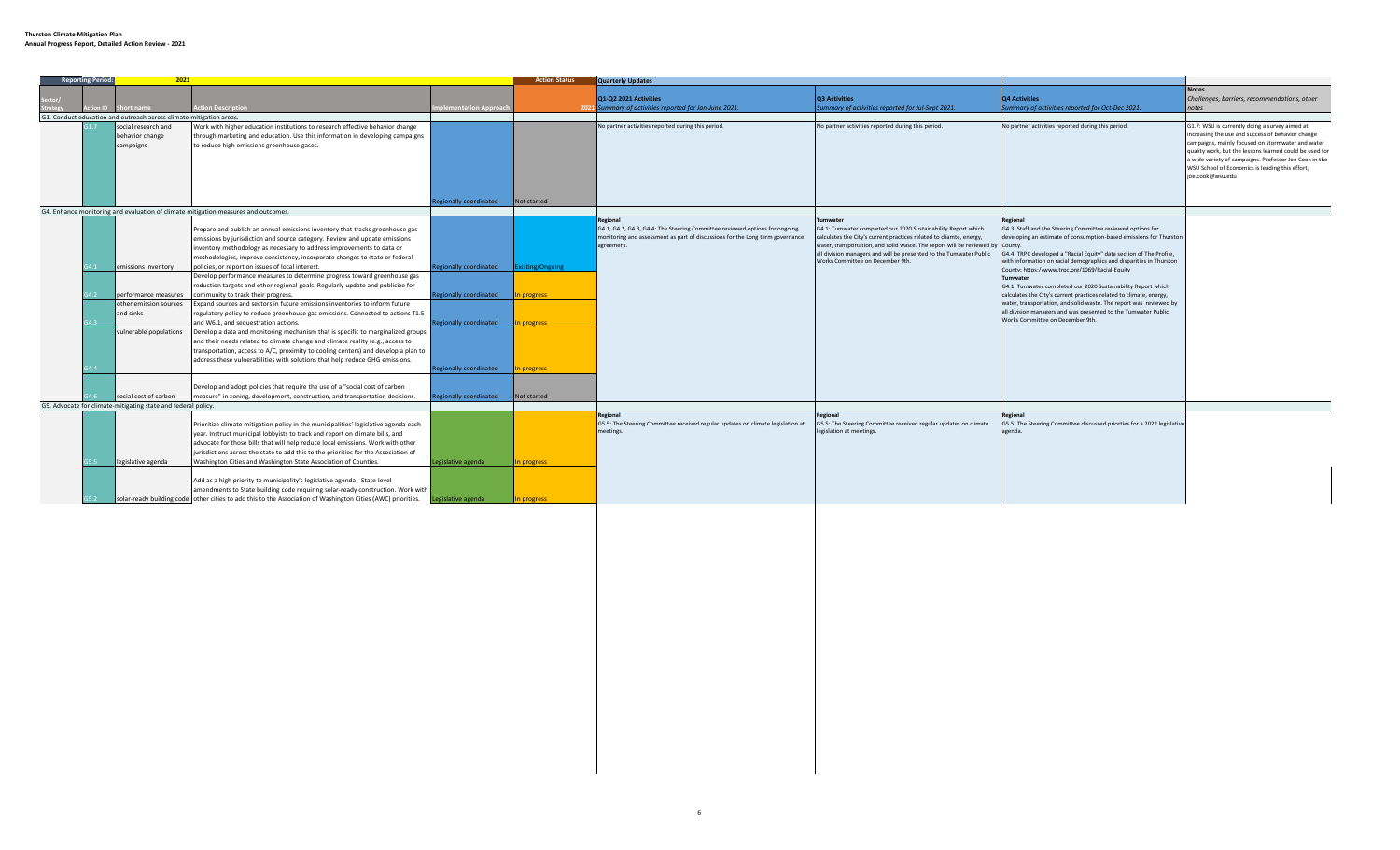| <b>Reporting Period:</b> | 2021                                                                |                                                                                                                         |                                         | <b>Action Status</b> | <b>Quarterly Updates</b>                                                                    |                                                                                                                                                       |                                                                                                                                      |                                                                                                                   |
|--------------------------|---------------------------------------------------------------------|-------------------------------------------------------------------------------------------------------------------------|-----------------------------------------|----------------------|---------------------------------------------------------------------------------------------|-------------------------------------------------------------------------------------------------------------------------------------------------------|--------------------------------------------------------------------------------------------------------------------------------------|-------------------------------------------------------------------------------------------------------------------|
|                          |                                                                     |                                                                                                                         |                                         |                      |                                                                                             |                                                                                                                                                       |                                                                                                                                      | <b>Notes</b>                                                                                                      |
|                          |                                                                     |                                                                                                                         |                                         |                      | Q1-Q2 2021 Activities                                                                       | Q3 Activities                                                                                                                                         | <b>Q4 Activities</b>                                                                                                                 | Challenges, barriers, recommendations, other                                                                      |
|                          | ort name                                                            | tion Description                                                                                                        | plementation Approac                    | -202                 | ummary of activities reported for Jan-June 2021.                                            | ummary of activities reported for Jul-Sept 2021.                                                                                                      | Summary of activities reported for Oct-Dec 2021.                                                                                     | notes                                                                                                             |
|                          | G1. Conduct education and outreach across climate mitigation areas. |                                                                                                                         |                                         |                      |                                                                                             |                                                                                                                                                       |                                                                                                                                      |                                                                                                                   |
|                          | social research and                                                 | Work with higher education institutions to research effective behavior change                                           |                                         |                      | No partner activities reported during this period.                                          | No partner activities reported during this period.                                                                                                    | No partner activities reported during this period.                                                                                   | G1.7: WSU is currently doing a survey aimed at                                                                    |
|                          | behavior change                                                     | through marketing and education. Use this information in developing campaigns                                           |                                         |                      |                                                                                             |                                                                                                                                                       |                                                                                                                                      | increasing the use and success of behavior change                                                                 |
|                          | campaigns                                                           | to reduce high emissions greenhouse gases.                                                                              |                                         |                      |                                                                                             |                                                                                                                                                       |                                                                                                                                      | campaigns, mainly focused on stormwater and water                                                                 |
|                          |                                                                     |                                                                                                                         |                                         |                      |                                                                                             |                                                                                                                                                       |                                                                                                                                      | quality work, but the lessons learned could be used for<br>a wide variety of campaigns. Professor Joe Cook in the |
|                          |                                                                     |                                                                                                                         |                                         |                      |                                                                                             |                                                                                                                                                       |                                                                                                                                      | WSU School of Economics is leading this effort,                                                                   |
|                          |                                                                     |                                                                                                                         |                                         |                      |                                                                                             |                                                                                                                                                       |                                                                                                                                      | joe.cook@wsu.edu                                                                                                  |
|                          |                                                                     |                                                                                                                         |                                         |                      |                                                                                             |                                                                                                                                                       |                                                                                                                                      |                                                                                                                   |
|                          |                                                                     |                                                                                                                         |                                         |                      |                                                                                             |                                                                                                                                                       |                                                                                                                                      |                                                                                                                   |
|                          |                                                                     |                                                                                                                         | egionally coordinated                   | Not started          |                                                                                             |                                                                                                                                                       |                                                                                                                                      |                                                                                                                   |
|                          |                                                                     | G4. Enhance monitoring and evaluation of climate mitigation measures and outcomes.                                      |                                         |                      |                                                                                             |                                                                                                                                                       |                                                                                                                                      |                                                                                                                   |
|                          |                                                                     |                                                                                                                         |                                         |                      | Regional                                                                                    | Tumwater                                                                                                                                              | Regional                                                                                                                             |                                                                                                                   |
|                          |                                                                     | Prepare and publish an annual emissions inventory that tracks greenhouse gas                                            |                                         |                      | G4.1, G4.2, G4.3, G4.4: The Steering Committee reviewed options for ongoing                 | G4.1: Tumwater completed our 2020 Sustainability Report which                                                                                         | G4.3: Staff and the Steering Committee reviewed options for                                                                          |                                                                                                                   |
|                          |                                                                     | emissions by jurisdiction and source category. Review and update emissions                                              |                                         |                      | monitoring and assessment as part of discussions for the Long term governance<br>agreement. | calculates the City's current practices related to cliamte, energy,<br>water, transportation, and solid waste. The report will be reviewed by County. | developing an estimate of consumption-based emissions for Thurstor                                                                   |                                                                                                                   |
|                          |                                                                     | inventory methodology as necessary to address improvements to data or                                                   |                                         |                      |                                                                                             | all division managers and will be presented to the Tumwater Public                                                                                    | G4.4: TRPC developed a "Racial Equity" data section of The Profile,                                                                  |                                                                                                                   |
|                          |                                                                     | methodologies, improve consistency, incorporate changes to state or federal                                             |                                         |                      |                                                                                             | Works Committee on December 9th.                                                                                                                      | with information on racial demographics and disparities in Thurston                                                                  |                                                                                                                   |
|                          | emissions inventory                                                 | policies, or report on issues of local interest.                                                                        | Regionally coordinated Existing/Ongoing |                      |                                                                                             |                                                                                                                                                       | County: https://www.trpc.org/1069/Racial-Equity                                                                                      |                                                                                                                   |
|                          |                                                                     | Develop performance measures to determine progress toward greenhouse gas                                                |                                         |                      |                                                                                             |                                                                                                                                                       | Tumwater                                                                                                                             |                                                                                                                   |
|                          |                                                                     | reduction targets and other regional goals. Regularly update and publicize for                                          |                                         |                      |                                                                                             |                                                                                                                                                       | G4.1: Tumwater completed our 2020 Sustainability Report which                                                                        |                                                                                                                   |
|                          | performance measures                                                | community to track their progress.                                                                                      | <b>Regionally coordinated</b>           | n progress           |                                                                                             |                                                                                                                                                       | calculates the City's current practices related to climate, energy,                                                                  |                                                                                                                   |
|                          | other emission sources                                              | Expand sources and sectors in future emissions inventories to inform future                                             |                                         |                      |                                                                                             |                                                                                                                                                       | water, transportation, and solid waste. The report was reviewed by<br>all division managers and was presented to the Tumwater Public |                                                                                                                   |
|                          | and sinks                                                           | regulatory policy to reduce greenhouse gas emissions. Connected to actions T1.5                                         |                                         |                      |                                                                                             |                                                                                                                                                       | Works Committee on December 9th.                                                                                                     |                                                                                                                   |
|                          | vulnerable populations                                              | and W6.1, and sequestration actions.<br>Develop a data and monitoring mechanism that is specific to marginalized groups | <b>Regionally coordinated</b>           | n progress           |                                                                                             |                                                                                                                                                       |                                                                                                                                      |                                                                                                                   |
|                          |                                                                     | and their needs related to climate change and climate reality (e.g., access to                                          |                                         |                      |                                                                                             |                                                                                                                                                       |                                                                                                                                      |                                                                                                                   |
|                          |                                                                     | transportation, access to A/C, proximity to cooling centers) and develop a plan to                                      |                                         |                      |                                                                                             |                                                                                                                                                       |                                                                                                                                      |                                                                                                                   |
|                          |                                                                     | address these vulnerabilities with solutions that help reduce GHG emissions.                                            |                                         |                      |                                                                                             |                                                                                                                                                       |                                                                                                                                      |                                                                                                                   |
|                          |                                                                     |                                                                                                                         | <b>Regionally coordinated</b>           | n progress           |                                                                                             |                                                                                                                                                       |                                                                                                                                      |                                                                                                                   |
|                          |                                                                     |                                                                                                                         |                                         |                      |                                                                                             |                                                                                                                                                       |                                                                                                                                      |                                                                                                                   |
|                          |                                                                     | Develop and adopt policies that require the use of a "social cost of carbon                                             |                                         |                      |                                                                                             |                                                                                                                                                       |                                                                                                                                      |                                                                                                                   |
|                          | social cost of carbon                                               | measure" in zoning, development, construction, and transportation decisions.                                            | egionally coordinated                   | Not started          |                                                                                             |                                                                                                                                                       |                                                                                                                                      |                                                                                                                   |
|                          | G5. Advocate for climate-mitigating state and federal policy.       |                                                                                                                         |                                         |                      |                                                                                             |                                                                                                                                                       |                                                                                                                                      |                                                                                                                   |
|                          |                                                                     |                                                                                                                         |                                         |                      | Regional                                                                                    | Regional                                                                                                                                              | Regional                                                                                                                             |                                                                                                                   |
|                          |                                                                     | Prioritize climate mitigation policy in the municipalities' legislative agenda each                                     |                                         |                      | G5.5: The Steering Committee received regular updates on climate legislation at             | G5.5: The Steering Committee received regular updates on climate                                                                                      | G5.5: The Steering Committee discussed priorties for a 2022 legislative                                                              |                                                                                                                   |
|                          |                                                                     | year. Instruct municipal lobbyists to track and report on climate bills, and                                            |                                         |                      | meetings.                                                                                   | legislation at meetings.                                                                                                                              | agenda.                                                                                                                              |                                                                                                                   |
|                          |                                                                     | advocate for those bills that will help reduce local emissions. Work with other                                         |                                         |                      |                                                                                             |                                                                                                                                                       |                                                                                                                                      |                                                                                                                   |
|                          |                                                                     | jurisdictions across the state to add this to the priorities for the Association of                                     |                                         |                      |                                                                                             |                                                                                                                                                       |                                                                                                                                      |                                                                                                                   |
|                          | legislative agenda                                                  | Washington Cities and Washington State Association of Counties.                                                         | Legislative agenda                      | n progress           |                                                                                             |                                                                                                                                                       |                                                                                                                                      |                                                                                                                   |
|                          |                                                                     |                                                                                                                         |                                         |                      |                                                                                             |                                                                                                                                                       |                                                                                                                                      |                                                                                                                   |
|                          |                                                                     | Add as a high priority to municipality's legislative agenda - State-level                                               |                                         |                      |                                                                                             |                                                                                                                                                       |                                                                                                                                      |                                                                                                                   |
|                          |                                                                     | amendments to State building code requiring solar-ready construction. Work with                                         |                                         |                      |                                                                                             |                                                                                                                                                       |                                                                                                                                      |                                                                                                                   |
|                          |                                                                     | solar-ready building code other cities to add this to the Association of Washington Cities (AWC) priorities.            | gislative agenda                        | n progress           |                                                                                             |                                                                                                                                                       |                                                                                                                                      |                                                                                                                   |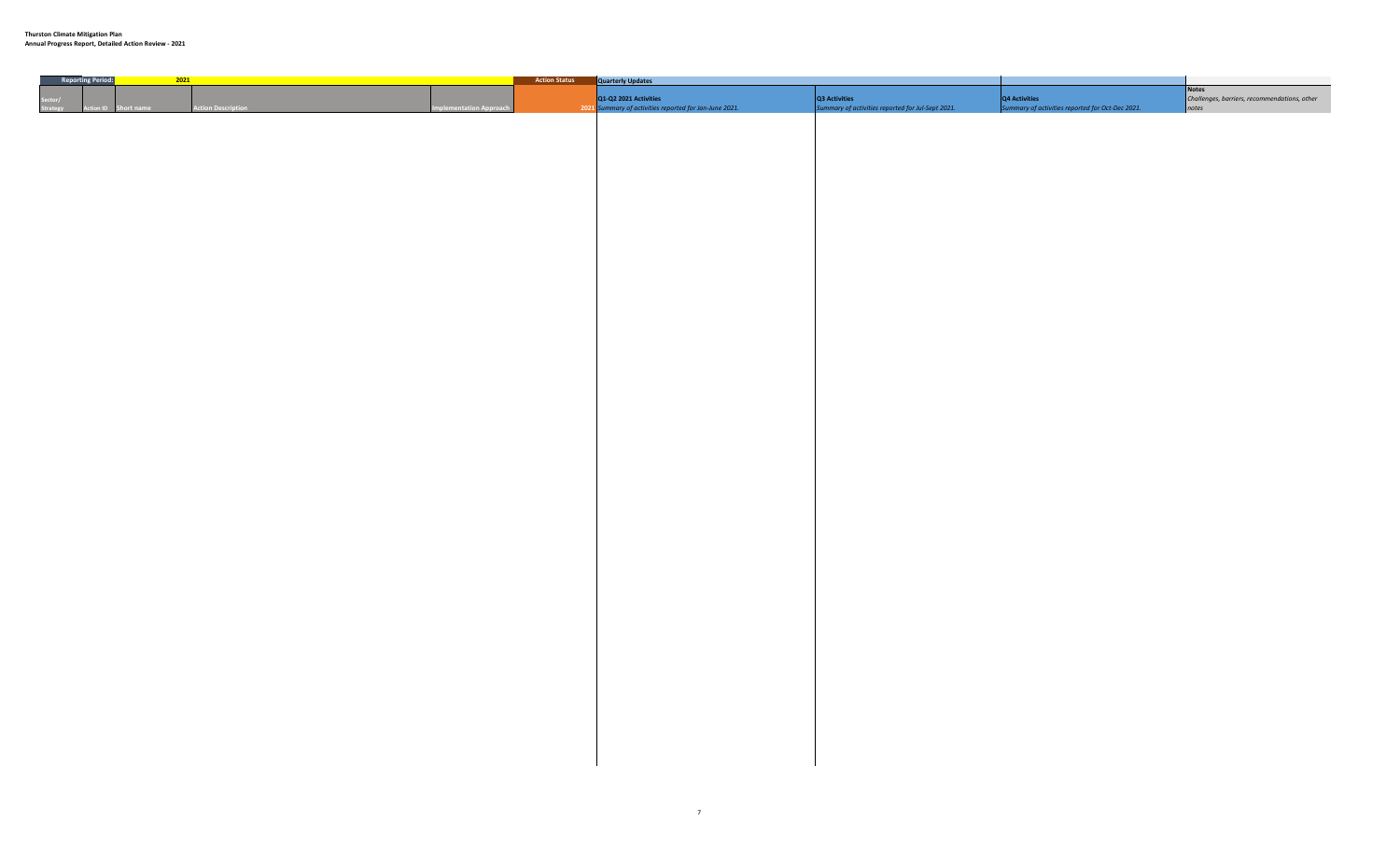**Annual Progress Report, Detailed Action Review - 2021**

| Reporting Period: |      | 2021              |                           | <b>Example 12 Action Status Quarterly Updates</b>                               |                                                                    |                                                                   |                                                                |
|-------------------|------|-------------------|---------------------------|---------------------------------------------------------------------------------|--------------------------------------------------------------------|-------------------------------------------------------------------|----------------------------------------------------------------|
|                   | t na | ction Description | <b>Iementation Approa</b> | Q1-Q2 2021 Activities<br>2021 Summary of activities reported for Jan-June 2021. | Q3 Activities<br>Summary of activities reported for Jul-Sept 2021. | Q4 Activities<br>Summary of activities reported for Oct-Dec 2021. | Notes<br>Challenges, barriers, recommendations, other<br>notes |
|                   |      |                   |                           |                                                                                 |                                                                    |                                                                   |                                                                |
|                   |      |                   |                           |                                                                                 |                                                                    |                                                                   |                                                                |
|                   |      |                   |                           |                                                                                 |                                                                    |                                                                   |                                                                |
|                   |      |                   |                           |                                                                                 |                                                                    |                                                                   |                                                                |
|                   |      |                   |                           |                                                                                 |                                                                    |                                                                   |                                                                |
|                   |      |                   |                           |                                                                                 |                                                                    |                                                                   |                                                                |
|                   |      |                   |                           |                                                                                 |                                                                    |                                                                   |                                                                |
|                   |      |                   |                           |                                                                                 |                                                                    |                                                                   |                                                                |
|                   |      |                   |                           |                                                                                 |                                                                    |                                                                   |                                                                |
|                   |      |                   |                           |                                                                                 |                                                                    |                                                                   |                                                                |
|                   |      |                   |                           |                                                                                 |                                                                    |                                                                   |                                                                |
|                   |      |                   |                           |                                                                                 |                                                                    |                                                                   |                                                                |
|                   |      |                   |                           |                                                                                 |                                                                    |                                                                   |                                                                |
|                   |      |                   |                           |                                                                                 |                                                                    |                                                                   |                                                                |
|                   |      |                   |                           |                                                                                 |                                                                    |                                                                   |                                                                |
|                   |      |                   |                           |                                                                                 |                                                                    |                                                                   |                                                                |
|                   |      |                   |                           |                                                                                 |                                                                    |                                                                   |                                                                |
|                   |      |                   |                           |                                                                                 |                                                                    |                                                                   |                                                                |
|                   |      |                   |                           |                                                                                 |                                                                    |                                                                   |                                                                |
|                   |      |                   |                           |                                                                                 |                                                                    |                                                                   |                                                                |
|                   |      |                   |                           |                                                                                 |                                                                    |                                                                   |                                                                |
|                   |      |                   |                           |                                                                                 |                                                                    |                                                                   |                                                                |
|                   |      |                   |                           |                                                                                 |                                                                    |                                                                   |                                                                |
|                   |      |                   |                           |                                                                                 |                                                                    |                                                                   |                                                                |
|                   |      |                   |                           |                                                                                 |                                                                    |                                                                   |                                                                |